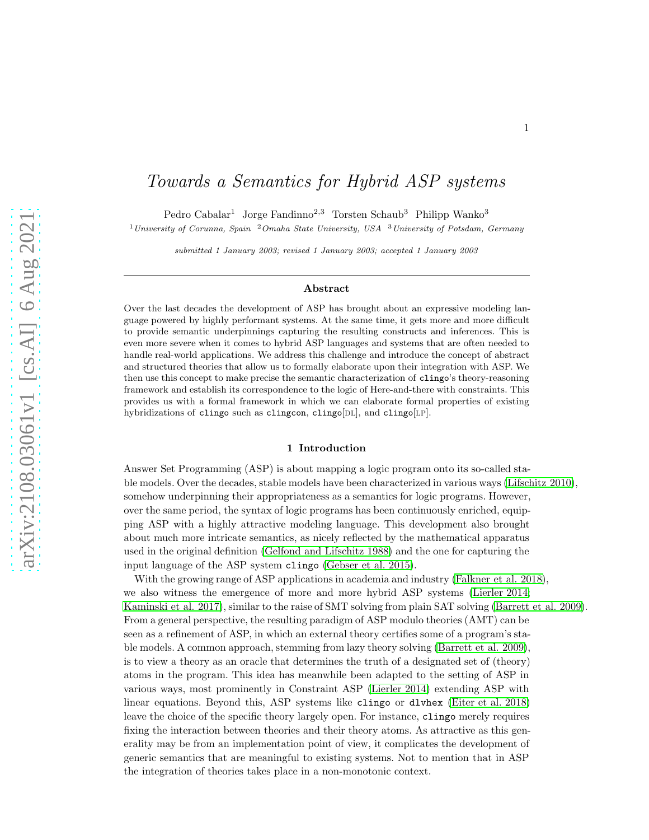# Towards a Semantics for Hybrid ASP systems

Pedro Cabalar<sup>1</sup> Jorge Fandinno<sup>2,3</sup> Torsten Schaub<sup>3</sup> Philipp Wanko<sup>3</sup>

<sup>1</sup>University of Corunna, Spain <sup>2</sup>Omaha State University, USA <sup>3</sup>University of Potsdam, Germany

submitted 1 January 2003; revised 1 January 2003; accepted 1 January 2003

#### Abstract

Over the last decades the development of ASP has brought about an expressive modeling language powered by highly performant systems. At the same time, it gets more and more difficult to provide semantic underpinnings capturing the resulting constructs and inferences. This is even more severe when it comes to hybrid ASP languages and systems that are often needed to handle real-world applications. We address this challenge and introduce the concept of abstract and structured theories that allow us to formally elaborate upon their integration with ASP. We then use this concept to make precise the semantic characterization of clingo's theory-reasoning framework and establish its correspondence to the logic of Here-and-there with constraints. This provides us with a formal framework in which we can elaborate formal properties of existing hybridizations of clingo such as clingcon, clingo $[DL]$ , and clingo $[LP]$ .

#### 1 Introduction

Answer Set Programming (ASP) is about mapping a logic program onto its so-called stable models. Over the decades, stable models have been characterized in various ways [\(Lifschitz 2010\)](#page-14-0), somehow underpinning their appropriateness as a semantics for logic programs. However, over the same period, the syntax of logic programs has been continuously enriched, equipping ASP with a highly attractive modeling language. This development also brought about much more intricate semantics, as nicely reflected by the mathematical apparatus used in the original definition [\(Gelfond and Lifschitz 1988\)](#page-14-1) and the one for capturing the input language of the ASP system clingo [\(Gebser et al. 2015\)](#page-13-0).

With the growing range of ASP applications in academia and industry [\(Falkner et al. 2018\)](#page-13-1), we also witness the emergence of more and more hybrid ASP systems [\(Lierler 2014;](#page-14-2) [Kaminski et al. 2017\)](#page-14-3), similar to the raise of SMT solving from plain SAT solving [\(Barrett et al. 2009\)](#page-13-2). From a general perspective, the resulting paradigm of ASP modulo theories (AMT) can be seen as a refinement of ASP, in which an external theory certifies some of a program's stable models. A common approach, stemming from lazy theory solving [\(Barrett et al. 2009\)](#page-13-2), is to view a theory as an oracle that determines the truth of a designated set of (theory) atoms in the program. This idea has meanwhile been adapted to the setting of ASP in various ways, most prominently in Constraint ASP [\(Lierler 2014\)](#page-14-2) extending ASP with linear equations. Beyond this, ASP systems like clingo or dlvhex [\(Eiter et al. 2018\)](#page-13-3) leave the choice of the specific theory largely open. For instance, clingo merely requires fixing the interaction between theories and their theory atoms. As attractive as this generality may be from an implementation point of view, it complicates the development of generic semantics that are meaningful to existing systems. Not to mention that in ASP the integration of theories takes place in a non-monotonic context.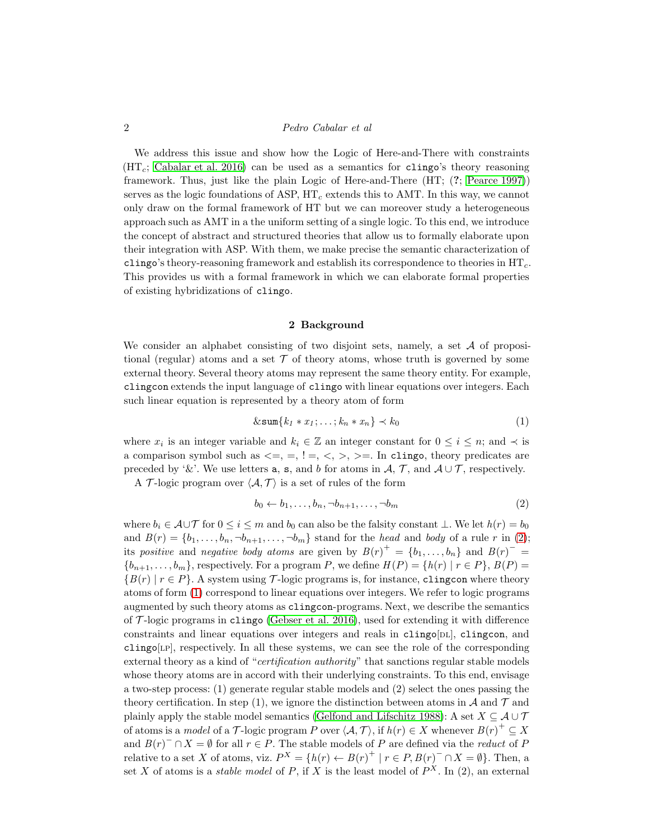We address this issue and show how the Logic of Here-and-There with constraints  $(HT_c;$  [Cabalar et al. 2016\)](#page-13-4) can be used as a semantics for clingo's theory reasoning framework. Thus, just like the plain Logic of Here-and-There (HT; (?; [Pearce 1997\)](#page-14-4)) serves as the logic foundations of ASP,  $HT<sub>c</sub>$  extends this to AMT. In this way, we cannot only draw on the formal framework of HT but we can moreover study a heterogeneous approach such as AMT in a the uniform setting of a single logic. To this end, we introduce the concept of abstract and structured theories that allow us to formally elaborate upon their integration with ASP. With them, we make precise the semantic characterization of clingo's theory-reasoning framework and establish its correspondence to theories in  $HT<sub>c</sub>$ . This provides us with a formal framework in which we can elaborate formal properties of existing hybridizations of clingo.

#### <span id="page-1-1"></span>2 Background

<span id="page-1-2"></span>We consider an alphabet consisting of two disjoint sets, namely, a set  $A$  of propositional (regular) atoms and a set  $\mathcal T$  of theory atoms, whose truth is governed by some external theory. Several theory atoms may represent the same theory entity. For example, clingcon extends the input language of clingo with linear equations over integers. Each such linear equation is represented by a theory atom of form

$$
\& \operatorname{sum}\{k_1 * x_1; \ldots; k_n * x_n\} \prec k_0 \tag{1}
$$

where  $x_i$  is an integer variable and  $k_i \in \mathbb{Z}$  an integer constant for  $0 \leq i \leq n$ ; and  $\prec$  is a comparison symbol such as  $\leq$  =,  $=$ ,  $\leq$ ,  $\leq$ ,  $\geq$  =. In clingo, theory predicates are preceded by '&'. We use letters **a**, **s**, and b for atoms in  $\mathcal{A}, \mathcal{T}$ , and  $\mathcal{A} \cup \mathcal{T}$ , respectively. A T-logic program over  $\langle A, \mathcal{T} \rangle$  is a set of rules of the form

<span id="page-1-0"></span>
$$
b_0 \leftarrow b_1, \dots, b_n, \neg b_{n+1}, \dots, \neg b_m \tag{2}
$$

where  $b_i \in \mathcal{A} \cup \mathcal{T}$  for  $0 \leq i \leq m$  and  $b_0$  can also be the falsity constant  $\bot$ . We let  $h(r) = b_0$ and  $B(r) = \{b_1, \ldots, b_n, \neg b_{n+1}, \ldots, \neg b_m\}$  stand for the head and body of a rule r in [\(2\)](#page-1-0); its positive and negative body atoms are given by  $B(r)^{+} = \{b_1, \ldots, b_n\}$  and  $B(r)^{-} =$  ${b_{n+1}, \ldots, b_m}$ , respectively. For a program P, we define  $H(P) = {h(r) | r \in P}$ ,  $B(P) =$  ${B(r) | r \in P}$ . A system using T-logic programs is, for instance, clingcon where theory atoms of form [\(1\)](#page-1-1) correspond to linear equations over integers. We refer to logic programs augmented by such theory atoms as clingcon-programs. Next, we describe the semantics of  $\mathcal{T}$ -logic programs in clingo [\(Gebser et al. 2016\)](#page-13-5), used for extending it with difference constraints and linear equations over integers and reals in  $\text{clingo}[DL]$ ,  $\text{clingo}$ , and  $\text{clingo}[LP]$ , respectively. In all these systems, we can see the role of the corresponding external theory as a kind of "*certification authority*" that sanctions regular stable models whose theory atoms are in accord with their underlying constraints. To this end, envisage a two-step process: (1) generate regular stable models and (2) select the ones passing the theory certification. In step (1), we ignore the distinction between atoms in  $\mathcal A$  and  $\mathcal T$  and plainly apply the stable model semantics [\(Gelfond and Lifschitz 1988\)](#page-14-1): A set  $X \subseteq \mathcal{A} \cup \mathcal{T}$ of atoms is a *model* of a T-logic program P over  $\langle A, \mathcal{T} \rangle$ , if  $h(r) \in X$  whenever  $B(r)^+ \subseteq X$ and  $B(r)$ <sup>-</sup> ∩ X = Ø for all  $r \in P$ . The stable models of P are defined via the *reduct* of P relative to a set X of atoms, viz.  $P^X = \{h(r) \leftarrow B(r)^+ | r \in P, B(r)^- \cap X = \emptyset\}$ . Then, a set X of atoms is a *stable model* of P, if X is the least model of  $P^X$ . In (2), an external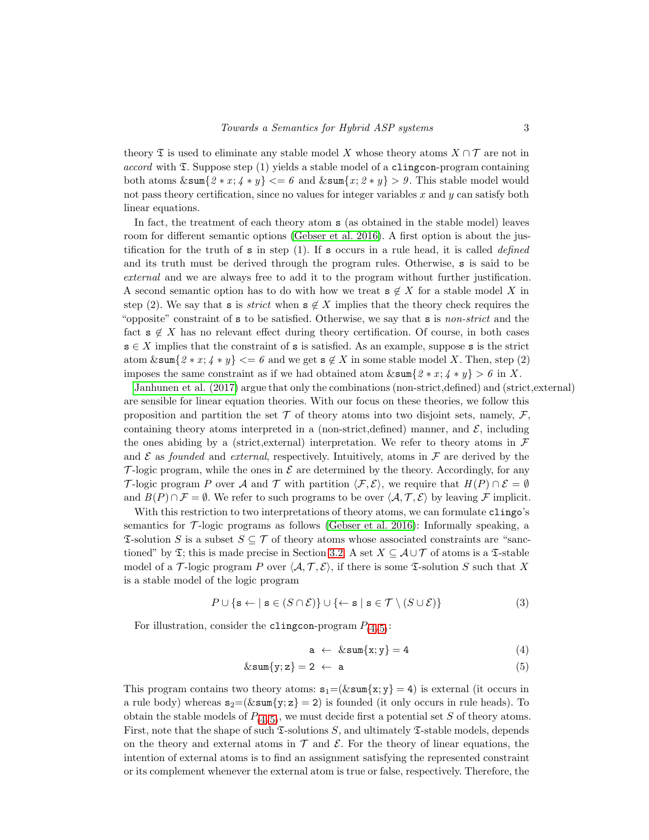theory  $\mathfrak T$  is used to eliminate any stable model X whose theory atoms  $X \cap \mathcal T$  are not in  $accord$  with  $\mathfrak{I}$ . Suppose step (1) yields a stable model of a clingcon-program containing both atoms  $\&\texttt{sum} \{2 * x; 4 * y\} \leq b$  and  $\&\texttt{sum} \{x; 2 * y\} > b$ . This stable model would not pass theory certification, since no values for integer variables  $x$  and  $y$  can satisfy both linear equations.

In fact, the treatment of each theory atom s (as obtained in the stable model) leaves room for different semantic options [\(Gebser et al. 2016\)](#page-13-5). A first option is about the justification for the truth of  $s$  in step (1). If  $s$  occurs in a rule head, it is called *defined* and its truth must be derived through the program rules. Otherwise, s is said to be external and we are always free to add it to the program without further justification. A second semantic option has to do with how we treat  $s \notin X$  for a stable model X in step (2). We say that s is *strict* when  $s \notin X$  implies that the theory check requires the "opposite" constraint of  $s$  to be satisfied. Otherwise, we say that  $s$  is *non-strict* and the fact  $s \notin X$  has no relevant effect during theory certification. Of course, in both cases  $s \in X$  implies that the constraint of s is satisfied. As an example, suppose s is the strict atom  $\&\texttt{sum}\{2*x; 4*y\} \leq b$  and we get  $s \notin X$  in some stable model X. Then, step (2) imposes the same constraint as if we had obtained atom  $\& \operatorname{sum} \{2 * x; 4 * y\} > 6$  in X.

[Janhunen et al. \(2017\)](#page-14-5) argue that only the combinations (non-strict,defined) and (strict,external) are sensible for linear equation theories. With our focus on these theories, we follow this proposition and partition the set  $\mathcal T$  of theory atoms into two disjoint sets, namely,  $\mathcal F$ , containing theory atoms interpreted in a (non-strict,defined) manner, and  $\mathcal{E}$ , including the ones abiding by a (strict, external) interpretation. We refer to theory atoms in  $\mathcal F$ and  $\mathcal E$  as founded and external, respectively. Intuitively, atoms in  $\mathcal F$  are derived by the  $\mathcal{T}$ -logic program, while the ones in  $\mathcal E$  are determined by the theory. Accordingly, for any T-logic program P over A and T with partition  $\langle \mathcal{F}, \mathcal{E} \rangle$ , we require that  $H(P) \cap \mathcal{E} = \emptyset$ and  $B(P) \cap \mathcal{F} = \emptyset$ . We refer to such programs to be over  $\langle \mathcal{A}, \mathcal{T}, \mathcal{E} \rangle$  by leaving F implicit.

With this restriction to two interpretations of theory atoms, we can formulate clingo's semantics for  $\mathcal{T}$ -logic programs as follows [\(Gebser et al. 2016\)](#page-13-5): Informally speaking, a  $\mathfrak{S}\text{-}$ solution S is a subset  $S \subseteq \mathcal{T}$  of theory atoms whose associated constraints are "sanctioned" by  $\mathfrak{T}$ ; this is made precise in Section [3.2.](#page-6-0) A set  $X \subseteq \mathcal{A} \cup \mathcal{T}$  of atoms is a  $\mathfrak{T}$ -stable model of a T-logic program P over  $\langle A, T, E \rangle$ , if there is some T-solution S such that X is a stable model of the logic program

$$
P \cup \{ \mathbf{s} \leftarrow \mid \mathbf{s} \in (S \cap \mathcal{E}) \} \cup \{ \leftarrow \mathbf{s} \mid \mathbf{s} \in \mathcal{T} \setminus (S \cup \mathcal{E}) \}
$$
(3)

For illustration, consider the clingcon-program  $P_{(4/5)}$  $P_{(4/5)}$  $P_{(4/5)}$  $P_{(4/5)}$  $P_{(4/5)}$ :

<span id="page-2-2"></span><span id="page-2-1"></span><span id="page-2-0"></span> $a \leftarrow \∑{x; y} = 4$  (4)

$$
\&\operatorname{sum}\{y; z\} = 2 \ \leftarrow \ \mathbf{a} \tag{5}
$$

This program contains two theory atoms:  $s_1=(\&\text{sum}\{x; y\} = 4)$  is external (it occurs in a rule body) whereas  $s_2=(\&\text{sum}\{y; z\}=2)$  is founded (it only occurs in rule heads). To obtain the stable models of  $P_{(4/5)}$  $P_{(4/5)}$  $P_{(4/5)}$  $P_{(4/5)}$  $P_{(4/5)}$ , we must decide first a potential set S of theory atoms. First, note that the shape of such  $\mathfrak{I}$ -solutions S, and ultimately  $\mathfrak{I}$ -stable models, depends on the theory and external atoms in  $\mathcal T$  and  $\mathcal E$ . For the theory of linear equations, the intention of external atoms is to find an assignment satisfying the represented constraint or its complement whenever the external atom is true or false, respectively. Therefore, the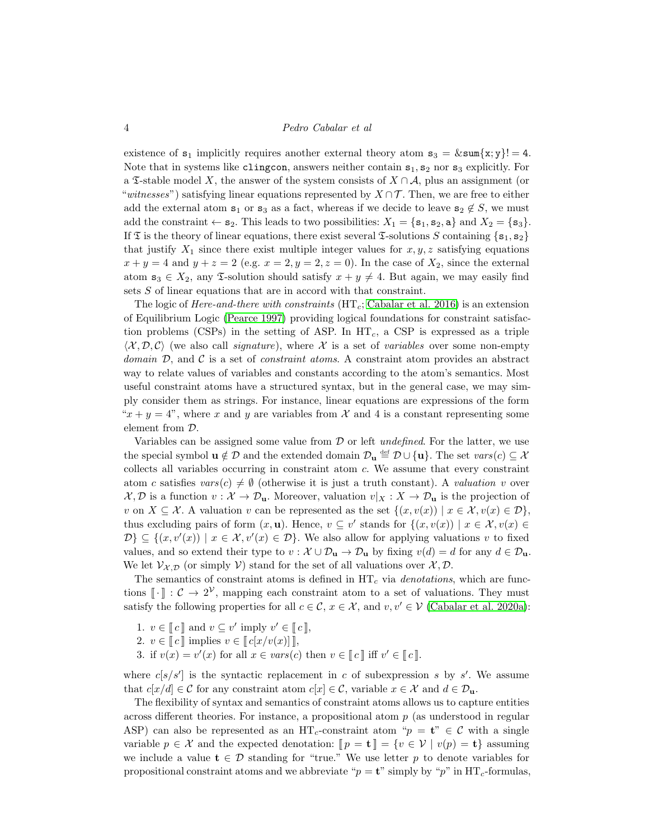existence of  $s_1$  implicitly requires another external theory atom  $s_3 = \& \text{sum}\{x; y\} = 4$ . Note that in systems like clingcon, answers neither contain  $s_1, s_2$  nor  $s_3$  explicitly. For a  $\mathfrak{X}\text{-stable}$  model X, the answer of the system consists of  $X \cap A$ , plus an assignment (or "witnesses") satisfying linear equations represented by  $X \cap \mathcal{T}$ . Then, we are free to either add the external atom  $s_1$  or  $s_3$  as a fact, whereas if we decide to leave  $s_2 \notin S$ , we must add the constraint  $\leftarrow s_2$ . This leads to two possibilities:  $X_1 = \{s_1, s_2, a\}$  and  $X_2 = \{s_3\}$ . If  $\mathfrak T$  is the theory of linear equations, there exist several  $\mathfrak T$ -solutions S containing  $\{s_1, s_2\}$ that justify  $X_1$  since there exist multiple integer values for  $x, y, z$  satisfying equations  $x + y = 4$  and  $y + z = 2$  (e.g.  $x = 2, y = 2, z = 0$ ). In the case of  $X_2$ , since the external atom  $s_3 \in X_2$ , any  $\mathfrak{S}$ -solution should satisfy  $x + y \neq 4$ . But again, we may easily find sets S of linear equations that are in accord with that constraint.

The logic of Here-and-there with constraints  $(HT<sub>c</sub>; Cabalar et al. 2016)$  $(HT<sub>c</sub>; Cabalar et al. 2016)$  is an extension of Equilibrium Logic [\(Pearce 1997\)](#page-14-4) providing logical foundations for constraint satisfaction problems (CSPs) in the setting of ASP. In  $HT<sub>c</sub>$ , a CSP is expressed as a triple  $\langle X, \mathcal{D}, \mathcal{C} \rangle$  (we also call *signature*), where X is a set of *variables* over some non-empty domain  $\mathcal{D}$ , and  $\mathcal{C}$  is a set of *constraint atoms*. A constraint atom provides an abstract way to relate values of variables and constants according to the atom's semantics. Most useful constraint atoms have a structured syntax, but in the general case, we may simply consider them as strings. For instance, linear equations are expressions of the form " $x + y = 4$ ", where x and y are variables from X and 4 is a constant representing some element from D.

Variables can be assigned some value from  $\mathcal D$  or left *undefined*. For the latter, we use the special symbol  $\mathbf{u} \notin \mathcal{D}$  and the extended domain  $\mathcal{D}_{\mathbf{u}} \stackrel{\text{def}}{=} \mathcal{D} \cup \{\mathbf{u}\}\$ . The set  $vars(c) \subseteq \mathcal{X}$ collects all variables occurring in constraint atom c. We assume that every constraint atom c satisfies  $vars(c) \neq \emptyset$  (otherwise it is just a truth constant). A valuation v over  $\mathcal{X}, \mathcal{D}$  is a function  $v : \mathcal{X} \to \mathcal{D}_{\mathbf{u}}$ . Moreover, valuation  $v|_X : X \to \mathcal{D}_{\mathbf{u}}$  is the projection of v on  $X \subseteq \mathcal{X}$ . A valuation v can be represented as the set  $\{(x, v(x)) \mid x \in \mathcal{X}, v(x) \in \mathcal{D}\}\,$ thus excluding pairs of form  $(x, \mathbf{u})$ . Hence,  $v \subseteq v'$  stands for  $\{(x, v(x)) \mid x \in \mathcal{X}, v(x) \in$  $\mathcal{D}\}\subseteq \{(x, v'(x)) \mid x \in \mathcal{X}, v'(x) \in \mathcal{D}\}\.$  We also allow for applying valuations v to fixed values, and so extend their type to  $v : \mathcal{X} \cup \mathcal{D}_u \to \mathcal{D}_u$  by fixing  $v(d) = d$  for any  $d \in \mathcal{D}_u$ . We let  $\mathcal{V}_{\mathcal{X},\mathcal{D}}$  (or simply V) stand for the set of all valuations over  $\mathcal{X},\mathcal{D}$ .

The semantics of constraint atoms is defined in  $HT_c$  via *denotations*, which are functions  $\lbrack \cdot \rbrack$  :  $\mathcal{C} \to 2^{\mathcal{V}}$ , mapping each constraint atom to a set of valuations. They must satisfy the following properties for all  $c \in \mathcal{C}$ ,  $x \in \mathcal{X}$ , and  $v, v' \in \mathcal{V}$  [\(Cabalar et al. 2020a\)](#page-13-6):

- 1.  $v \in \llbracket c \rrbracket$  and  $v \subseteq v'$  imply  $v' \in \llbracket c \rrbracket$ ,
- 2.  $v \in \llbracket c \rrbracket$  implies  $v \in \llbracket c[x/v(x)] \rrbracket$ ,
- 3. if  $v(x) = v'(x)$  for all  $x \in vars(c)$  then  $v \in [c]$  iff  $v' \in [c]$ .

where  $c[s/s']$  is the syntactic replacement in c of subexpression s by s'. We assume that  $c[x/d] \in \mathcal{C}$  for any constraint atom  $c[x] \in \mathcal{C}$ , variable  $x \in \mathcal{X}$  and  $d \in \mathcal{D}_{\mathbf{u}}$ .

The flexibility of syntax and semantics of constraint atoms allows us to capture entities across different theories. For instance, a propositional atom p (as understood in regular ASP) can also be represented as an HT<sub>c</sub>-constraint atom " $p = \mathbf{t}$ "  $\in \mathcal{C}$  with a single variable  $p \in \mathcal{X}$  and the expected denotation:  $\llbracket p = \mathbf{t} \rrbracket = \{v \in \mathcal{V} \mid v(p) = \mathbf{t}\}\$ assuming we include a value  $\mathbf{t} \in \mathcal{D}$  standing for "true." We use letter p to denote variables for propositional constraint atoms and we abbreviate " $p = \mathbf{t}$ " simply by "p" in HT<sub>c</sub>-formulas,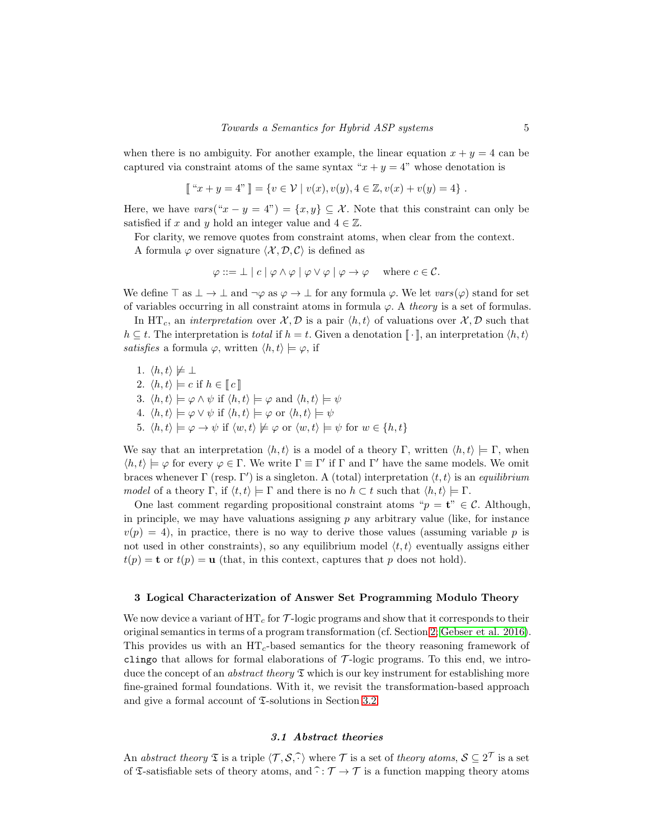when there is no ambiguity. For another example, the linear equation  $x + y = 4$  can be captured via constraint atoms of the same syntax " $x + y = 4$ " whose denotation is

$$
[[ "x + y = 4" ]] = \{ v \in \mathcal{V} \mid v(x), v(y), 4 \in \mathbb{Z}, v(x) + v(y) = 4 \}.
$$

Here, we have  $vars("x - y = 4") = \{x, y\} \subseteq \mathcal{X}$ . Note that this constraint can only be satisfied if x and y hold an integer value and  $4 \in \mathbb{Z}$ .

For clarity, we remove quotes from constraint atoms, when clear from the context.

A formula  $\varphi$  over signature  $\langle \mathcal{X}, \mathcal{D}, \mathcal{C} \rangle$  is defined as

$$
\varphi ::= \bot \mid c \mid \varphi \land \varphi \mid \varphi \lor \varphi \mid \varphi \to \varphi \quad \text{where } c \in \mathcal{C}.
$$

We define  $\top$  as  $\bot \to \bot$  and  $\neg \varphi$  as  $\varphi \to \bot$  for any formula  $\varphi$ . We let  $vars(\varphi)$  stand for set of variables occurring in all constraint atoms in formula  $\varphi$ . A theory is a set of formulas.

In HT<sub>c</sub>, an *interpretation* over  $\mathcal{X}, \mathcal{D}$  is a pair  $\langle h, t \rangle$  of valuations over  $\mathcal{X}, \mathcal{D}$  such that  $h \subseteq t$ . The interpretation is total if  $h = t$ . Given a denotation  $\llbracket \cdot \rrbracket$ , an interpretation  $\langle h, t \rangle$ satisfies a formula  $\varphi$ , written  $\langle h, t \rangle \models \varphi$ , if

1.  $\langle h, t \rangle \not\models \bot$ 2.  $\langle h, t \rangle \models c$  if  $h \in \llbracket c \rrbracket$ 3.  $\langle h, t \rangle \models \varphi \land \psi$  if  $\langle h, t \rangle \models \varphi$  and  $\langle h, t \rangle \models \psi$ 4.  $\langle h, t \rangle \models \varphi \lor \psi$  if  $\langle h, t \rangle \models \varphi$  or  $\langle h, t \rangle \models \psi$ 5.  $\langle h, t \rangle \models \varphi \rightarrow \psi$  if  $\langle w, t \rangle \not\models \varphi$  or  $\langle w, t \rangle \models \psi$  for  $w \in \{h, t\}$ 

We say that an interpretation  $\langle h, t \rangle$  is a model of a theory Γ, written  $\langle h, t \rangle \models \Gamma$ , when  $\langle h, t \rangle \models \varphi$  for every  $\varphi \in \Gamma$ . We write  $\Gamma \equiv \Gamma'$  if  $\Gamma$  and  $\Gamma'$  have the same models. We omit braces whenever  $\Gamma$  (resp.  $\Gamma'$ ) is a singleton. A (total) interpretation  $\langle t, t \rangle$  is an equilibrium model of a theory Γ, if  $\langle t, t \rangle \models \Gamma$  and there is no  $h \subset t$  such that  $\langle h, t \rangle \models \Gamma$ .

One last comment regarding propositional constraint atoms " $p = t$ "  $\in \mathcal{C}$ . Although, in principle, we may have valuations assigning  $p$  any arbitrary value (like, for instance  $v(p) = 4$ , in practice, there is no way to derive those values (assuming variable p is not used in other constraints), so any equilibrium model  $\langle t, t \rangle$  eventually assigns either  $t(p) = \mathbf{t}$  or  $t(p) = \mathbf{u}$  (that, in this context, captures that p does not hold).

#### 3 Logical Characterization of Answer Set Programming Modulo Theory

We now device a variant of  $HT_c$  for  $\mathcal{T}$ -logic programs and show that it corresponds to their original semantics in terms of a program transformation (cf. Section [2;](#page-1-2) [Gebser et al. 2016\)](#page-13-5). This provides us with an  $HT_c$ -based semantics for the theory reasoning framework of clingo that allows for formal elaborations of  $\mathcal{T}$ -logic programs. To this end, we introduce the concept of an *abstract theory*  $\mathfrak T$  which is our key instrument for establishing more fine-grained formal foundations. With it, we revisit the transformation-based approach and give a formal account of  $\Sigma$ -solutions in Section [3.2.](#page-6-0)

# 3.1 Abstract theories

An abstract theory  $\mathfrak T$  is a triple  $\langle \mathcal T, \mathcal S, \widehat{\cdot}\rangle$  where  $\mathcal T$  is a set of theory atoms,  $\mathcal S\subseteq 2^{\mathcal T}$  is a set of  $\mathfrak T$ -satisfiable sets of theory atoms, and  $\widehat{\cdot} : \mathcal T \to \mathcal T$  is a function mapping theory atoms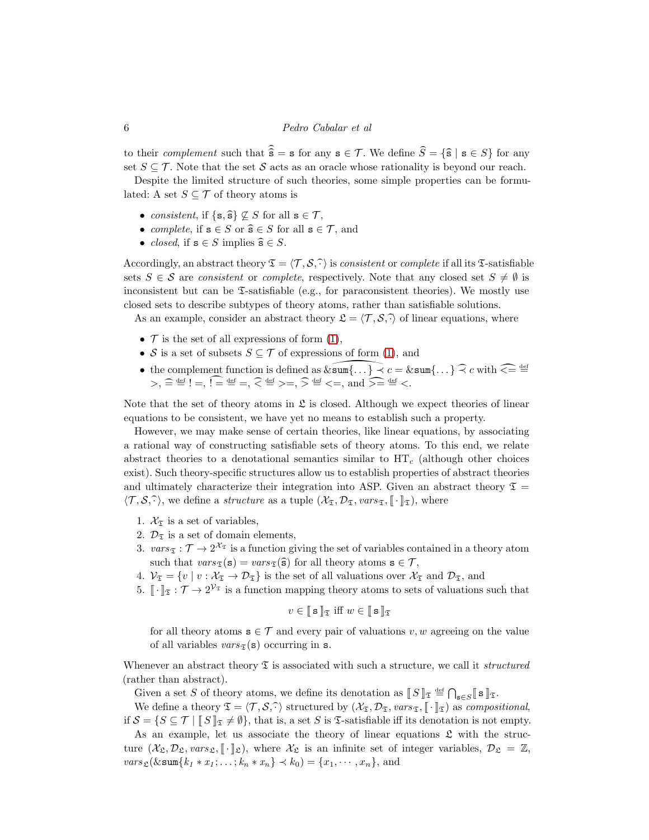to their complement such that  $\widehat{\hat{s}} = s$  for any  $s \in \mathcal{T}$ . We define  $\widehat{S} = {\{\hat{s} \mid s \in S\}}$  for any set  $S \subseteq \mathcal{T}$ . Note that the set S acts as an oracle whose rationality is beyond our reach.

Despite the limited structure of such theories, some simple properties can be formulated: A set  $S \subseteq \mathcal{T}$  of theory atoms is

- consistent, if  $\{s, \hat{s}\}\nsubseteq S$  for all  $s \in \mathcal{T}$ ,
- complete, if  $s \in S$  or  $\widehat{s} \in S$  for all  $s \in \mathcal{T}$ , and
- *closed*, if  $s \in S$  implies  $\widehat{s} \in S$ .

Accordingly, an abstract theory  $\mathfrak{T} = \langle \mathcal{T}, \mathcal{S}, \hat{\cdot} \rangle$  is consistent or complete if all its T-satisfiable sets  $S \in \mathcal{S}$  are consistent or complete, respectively. Note that any closed set  $S \neq \emptyset$  is inconsistent but can be  $\mathfrak{I}$ -satisfiable (e.g., for paraconsistent theories). We mostly use closed sets to describe subtypes of theory atoms, rather than satisfiable solutions.

As an example, consider an abstract theory  $\mathfrak{L} = \langle \mathcal{T}, \mathcal{S}, \hat{\cdot} \rangle$  of linear equations, where

- $\mathcal T$  is the set of all expressions of form [\(1\)](#page-1-1),
- S is a set of subsets  $S \subseteq \mathcal{T}$  of expressions of form [\(1\)](#page-1-1), and
- the complement function is defined as  $\widehat{\∑(\ldots)} \prec c = \∑(\ldots) \widehat{\prec} c$  with  $\widehat{\prec} = \stackrel{\text{def}}{=}$  $>$ ,  $\widehat{=}$   $\stackrel{\text{def}}{=}$   $!=$ ,  $\widehat{=}$   $\stackrel{\text{def}}{=}$   $=$ ,  $\widehat{<}$   $\stackrel{\text{def}}{=}$   $>$ =,  $\widehat{>}$   $\stackrel{\text{def}}{=}$   $\leq$ , and  $\widehat{>}$   $\stackrel{\text{def}}{=}$   $\leq$ .

Note that the set of theory atoms in  $\mathfrak L$  is closed. Although we expect theories of linear equations to be consistent, we have yet no means to establish such a property.

However, we may make sense of certain theories, like linear equations, by associating a rational way of constructing satisfiable sets of theory atoms. To this end, we relate abstract theories to a denotational semantics similar to  $HT_c$  (although other choices exist). Such theory-specific structures allow us to establish properties of abstract theories and ultimately characterize their integration into ASP. Given an abstract theory  $\mathfrak{T} =$  $\langle \mathcal{T}, \mathcal{S}, \hat{\cdot} \rangle$ , we define a *structure* as a tuple  $(\mathcal{X}_{\mathfrak{T}}, \mathcal{D}_{\mathfrak{T}}, vars_{\mathfrak{T}}, \llbracket \cdot \rrbracket_{\mathfrak{T}})$ , where

- 1.  $\mathcal{X}_{\mathfrak{T}}$  is a set of variables,
- 2.  $\mathcal{D}_{\mathfrak{T}}$  is a set of domain elements,
- 3.  $vars_{\mathfrak{T}} : \mathcal{T} \to 2^{\mathcal{X}_{\mathfrak{T}}}$  is a function giving the set of variables contained in a theory atom such that  $vars_{\mathfrak{T}}(\mathbf{s}) = vars_{\mathfrak{T}}(\mathbf{\hat{s}})$  for all theory atoms  $\mathbf{s} \in \mathcal{T}$ ,
- 4.  $V_{\mathfrak{T}} = \{v \mid v : \mathcal{X}_{\mathfrak{T}} \to \mathcal{D}_{\mathfrak{T}}\}$  is the set of all valuations over  $\mathcal{X}_{\mathfrak{T}}$  and  $\mathcal{D}_{\mathfrak{T}}$ , and
- 5.  $\llbracket \cdot \rrbracket_{\mathfrak{T}} : \mathcal{T} \to 2^{\mathcal{V}_{\mathfrak{T}}}$  is a function mapping theory atoms to sets of valuations such that

$$
v \in \llbracket \,\mathbf{s} \,\rrbracket_{\mathfrak{T}} \text{ iff } w \in \llbracket \,\mathbf{s} \,\rrbracket_{\mathfrak{T}}
$$

for all theory atoms  $s \in \mathcal{T}$  and every pair of valuations v, w agreeing on the value of all variables  $vars_{\mathfrak{T}}(\mathbf{s})$  occurring in s.

Whenever an abstract theory  $\mathfrak T$  is associated with such a structure, we call it *structured* (rather than abstract).

Given a set S of theory atoms, we define its denotation as  $\llbracket S \rrbracket_{\mathfrak{T}} \stackrel{\text{def}}{=} \bigcap_{\mathbf{s} \in S} \llbracket \mathbf{s} \rrbracket_{\mathfrak{T}}$ .

We define a theory  $\mathfrak{T} = \langle \mathcal{T}, \mathcal{S}, \hat{\cdot} \rangle$  structured by  $(\mathcal{X}_{\mathfrak{T}}, \mathcal{D}_{\mathfrak{T}}, vars_{\mathfrak{T}}, \|\cdot\|_{\mathfrak{T}})$  as compositional, if  $\mathcal{S} = \{S \subseteq \mathcal{T} \mid \mathbb{S} \mid \mathbb{R} \neq \emptyset\}$ , that is, a set S is  $\mathcal{I}$ -satisfiable iff its denotation is not empty.

As an example, let us associate the theory of linear equations  $\mathfrak L$  with the structure  $(\mathcal{X}_{\mathfrak{L}}, \mathcal{D}_{\mathfrak{L}}, vars_{\mathfrak{L}}, [\cdot]_{\mathfrak{L}})$ , where  $\mathcal{X}_{\mathfrak{L}}$  is an infinite set of integer variables,  $\mathcal{D}_{\mathfrak{L}} = \mathbb{Z}$ ,  $vars_{\mathcal{L}}(ksum{k_1 * x_1; \ldots; k_n * x_n} \prec k_0) = \{x_1, \cdots, x_n\}$ , and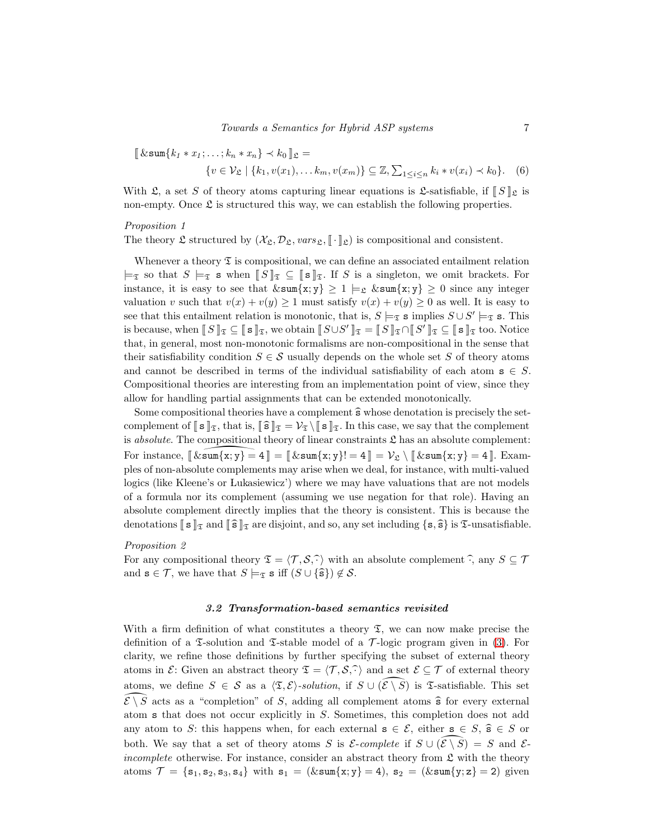<span id="page-6-1"></span>
$$
\llbracket \& \text{sum}\{k_1 * x_1; \dots; k_n * x_n\} \prec k_0 \rrbracket_{\mathfrak{L}} = \{v \in \mathcal{V}_{\mathfrak{L}} \mid \{k_1, v(x_1), \dots k_m, v(x_m)\} \subseteq \mathbb{Z}, \sum_{1 \le i \le n} k_i * v(x_i) \prec k_0\}.
$$
 (6)

With  $\mathfrak{L}$ , a set S of theory atoms capturing linear equations is  $\mathfrak{L}$ -satisfiable, if  $\llbracket S \rrbracket$  is non-empty. Once  $\mathfrak L$  is structured this way, we can establish the following properties.

# Proposition 1

The theory  $\mathfrak L$  structured by  $(\mathcal{X}_\mathfrak{L}, \mathcal{D}_\mathfrak{L}, vars_\mathfrak{L}, \llbracket \cdot \rrbracket_\mathfrak{L})$  is compositional and consistent.

Whenever a theory  $\mathfrak T$  is compositional, we can define an associated entailment relation  $\models_{\mathfrak{T}}$  so that  $S \models_{\mathfrak{T}} s$  when  $\llbracket S \rrbracket_{\mathfrak{T}} \subseteq \llbracket s \rrbracket_{\mathfrak{T}}$ . If S is a singleton, we omit brackets. For instance, it is easy to see that  $\& \text{sum}\{x; y\} \geq 1 \models_{\mathfrak{L}} \& \text{sum}\{x; y\} \geq 0$  since any integer valuation v such that  $v(x) + v(y) \ge 1$  must satisfy  $v(x) + v(y) \ge 0$  as well. It is easy to see that this entailment relation is monotonic, that is,  $S \models_{\mathfrak{T}} s$  implies  $S \cup S' \models_{\mathfrak{T}} s$ . This is because, when  $[[S]]_{\mathfrak{T}} \subseteq [[s]]_{\mathfrak{T}}$ , we obtain  $[[S \cup S']]_{\mathfrak{T}} = [[S]]_{\mathfrak{T}} \cap [[S']]_{\mathfrak{T}} \subseteq [[s]]_{\mathfrak{T}}$  too. Notice that, in general, most non-monotonic formalisms are non-compositional in the sense that their satisfiability condition  $S \in \mathcal{S}$  usually depends on the whole set S of theory atoms and cannot be described in terms of the individual satisfiability of each atom  $s \in S$ . Compositional theories are interesting from an implementation point of view, since they allow for handling partial assignments that can be extended monotonically.

Some compositional theories have a complement  $\widehat{\mathbf{s}}$  whose denotation is precisely the setcomplement of  $\llbracket \mathbf{s} \rrbracket_{\mathfrak{T}}$ , that is,  $\llbracket \widehat{\mathbf{s}} \rrbracket_{\mathfrak{T}} = \mathcal{V}_{\mathfrak{T}} \setminus \llbracket \mathbf{s} \rrbracket_{\mathfrak{T}}$ . In this case, we say that the complement is *absolute*. The compositional theory of linear constraints  $\mathfrak{L}$  has an absolute complement: For instance,  $\llbracket \&\text{sum}\{x; y\} = 4 \rrbracket = \llbracket \&\text{sum}\{x; y\} = 4 \rrbracket = \mathcal{V}_{\mathfrak{L}} \setminus \llbracket \&\text{sum}\{x; y\} = 4 \rrbracket$ . Examples of non-absolute complements may arise when we deal, for instance, with multi-valued logics (like Kleene's or Lukasiewicz') where we may have valuations that are not models of a formula nor its complement (assuming we use negation for that role). Having an absolute complement directly implies that the theory is consistent. This is because the denotations  $\llbracket s \rrbracket_{\mathfrak{T}}$  and  $\llbracket \widehat{s} \rrbracket_{\mathfrak{T}}$  are disjoint, and so, any set including  $\{s, \widehat{s}\}$  is  $\mathfrak{T}$ -unsatisfiable.

#### Proposition 2

For any compositional theory  $\mathfrak{T} = \langle \mathcal{T}, \mathcal{S}, \widehat{\cdot} \rangle$  with an absolute complement  $\widehat{\cdot}$ , any  $S \subseteq \mathcal{T}$ and  $\mathbf{s} \in \mathcal{T}$ , we have that  $S \models_{\mathfrak{T}} \mathbf{s}$  iff  $(S \cup \{\hat{\mathbf{s}}\}) \notin \mathcal{S}$ .

#### <span id="page-6-2"></span>3.2 Transformation-based semantics revisited

<span id="page-6-0"></span>With a firm definition of what constitutes a theory  $\mathfrak{T}$ , we can now make precise the definition of a  $\mathfrak T$ -solution and  $\mathfrak T$ -stable model of a  $\mathcal T$ -logic program given in [\(3\)](#page-2-2). For clarity, we refine those definitions by further specifying the subset of external theory atoms in  $\mathcal{E}$ : Given an abstract theory  $\mathcal{I} = \langle \mathcal{T}, \mathcal{S}, \hat{\cdot} \rangle$  and a set  $\mathcal{E} \subseteq \mathcal{T}$  of external theory atoms, we define  $S \in \mathcal{S}$  as a  $\langle \mathfrak{T}, \mathcal{E} \rangle$ -solution, if  $S \cup (\widehat{\mathcal{E} \setminus S})$  is  $\mathfrak{T}$ -satisfiable. This set  $\widehat{\mathcal{E} \setminus S}$  acts as a "completion" of S, adding all complement atoms  $\widehat{\mathbf{s}}$  for every external atom s that does not occur explicitly in S. Sometimes, this completion does not add any atom to S: this happens when, for each external  $s \in \mathcal{E}$ , either  $s \in S$ ,  $\hat{s} \in S$  or both. We say that a set of theory atoms S is  $\mathcal{E}\text{-complete}$  if  $S \cup (\mathcal{E} \setminus \mathcal{S}) = S$  and  $\mathcal{E}\text{-}$ *incomplete* otherwise. For instance, consider an abstract theory from  $\mathfrak{L}$  with the theory atoms  $\mathcal{T} = \{s_1, s_2, s_3, s_4\}$  with  $s_1 = (&\text{sum}\{x; y\} = 4), s_2 = (&\text{sum}\{y; z\} = 2)$  given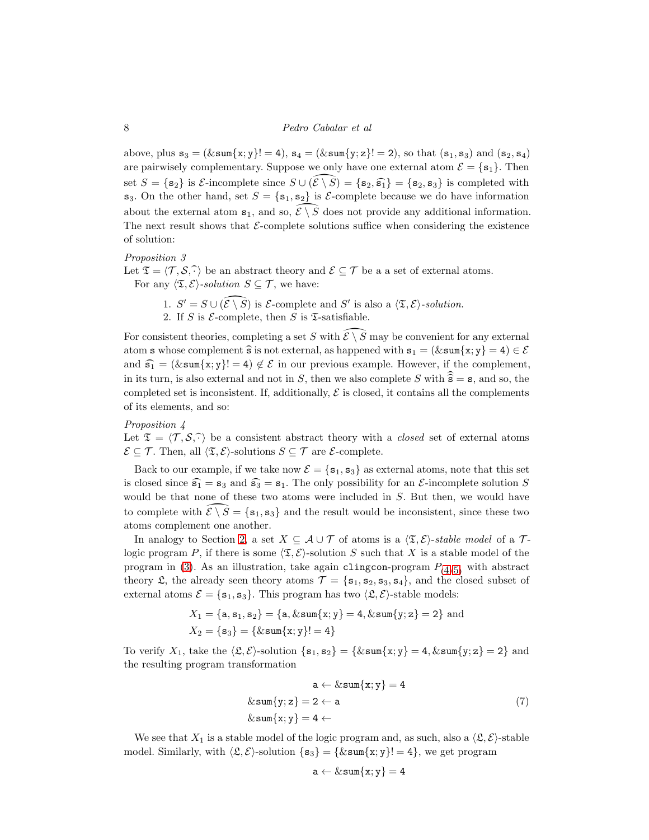above, plus  $s_3 = (\& \operatorname{sum}\{x; y\}! = 4)$ ,  $s_4 = (\& \operatorname{sum}\{y; z\}! = 2)$ , so that  $(s_1, s_3)$  and  $(s_2, s_4)$ are pairwisely complementary. Suppose we only have one external atom  $\mathcal{E} = \{s_1\}$ . Then set  $S = \{s_2\}$  is  $\mathcal{E}\text{-incomplete}$  since  $S \cup (\mathcal{E} \setminus \mathcal{S}) = \{s_2, s_3\} = \{s_2, s_3\}$  is completed with  $s_3$ . On the other hand, set  $S = \{s_1, s_2\}$  is *E*-complete because we do have information about the external atom  $s_1$ , and so,  $\mathcal{E} \setminus \mathcal{S}$  does not provide any additional information. The next result shows that  $\mathcal{E}\text{-complete}$  solutions suffice when considering the existence of solution:

#### <span id="page-7-0"></span>Proposition 3

Let  $\mathfrak{T} = \langle \mathcal{T}, \mathcal{S}, \hat{\cdot} \rangle$  be an abstract theory and  $\mathcal{E} \subseteq \mathcal{T}$  be a a set of external atoms. For any  $\langle \mathfrak{T}, \mathcal{E} \rangle$ -solution  $S \subseteq \mathcal{T}$ , we have:

- 1.  $S' = S \cup (\widehat{\mathcal{E} \setminus S})$  is  $\mathcal{E}$ -complete and  $S'$  is also a  $\langle \mathfrak{T}, \mathcal{E} \rangle$ -solution.
- 2. If S is  $\mathcal{E}$ -complete, then S is  $\mathfrak{T}$ -satisfiable.

For consistent theories, completing a set S with  $\mathcal{E} \setminus \overline{S}$  may be convenient for any external atom s whose complement  $\hat{\mathbf{s}}$  is not external, as happened with  $\mathbf{s}_1 = (\& \operatorname{sum} \{x; y\} = 4) \in \mathcal{E}$ and  $\widehat{s_1} = (\& \texttt{sum}\{x, y\}! = 4) \notin \mathcal{E}$  in our previous example. However, if the complement, in its turn, is also external and not in S, then we also complete S with  $\hat{s} = s$ , and so, the completed set is inconsistent. If, additionally,  $\mathcal E$  is closed, it contains all the complements of its elements, and so:

#### <span id="page-7-1"></span>Proposition 4

Let  $\mathfrak{T} = \langle \mathcal{T}, \mathcal{S}, \hat{\cdot} \rangle$  be a consistent abstract theory with a *closed* set of external atoms  $\mathcal{E} \subseteq \mathcal{T}$ . Then, all  $\langle \mathfrak{T}, \mathcal{E} \rangle$ -solutions  $S \subseteq \mathcal{T}$  are  $\mathcal{E}$ -complete.

Back to our example, if we take now  $\mathcal{E} = \{s_1, s_3\}$  as external atoms, note that this set is closed since  $\widehat{s_1} = s_3$  and  $\widehat{s_3} = s_1$ . The only possibility for an *E*-incomplete solution *S* would be that none of these two atoms were included in S. But then, we would have to complete with  $\mathcal{E} \setminus \mathcal{S} = \{s_1, s_3\}$  and the result would be inconsistent, since these two atoms complement one another.

In analogy to Section [2,](#page-1-2) a set  $X \subseteq \mathcal{A} \cup \mathcal{T}$  of atoms is a  $\langle \mathfrak{T}, \mathcal{E} \rangle$ -stable model of a  $\mathcal{T}$ logic program P, if there is some  $\langle \mathfrak{T}, \mathcal{E} \rangle$ -solution S such that X is a stable model of the program in [\(3\)](#page-2-2). As an illustration, take again clingcon-program  $P_{(4/5)}$  $P_{(4/5)}$  $P_{(4/5)}$  $P_{(4/5)}$  $P_{(4/5)}$  with abstract theory  $\mathfrak{L}$ , the already seen theory atoms  $\mathcal{T} = \{\mathbf{s}_1, \mathbf{s}_2, \mathbf{s}_3, \mathbf{s}_4\}$ , and the closed subset of external atoms  $\mathcal{E} = \{\mathbf{s}_1, \mathbf{s}_3\}$ . This program has two  $\langle \mathfrak{L}, \mathcal{E} \rangle$ -stable models:

$$
X_1 = \{a, s_1, s_2\} = \{a, \& sum\{x; y\} = 4, \& sum\{y; z\} = 2\}
$$
 and  

$$
X_2 = \{s_3\} = \{\& sum\{x; y\}!=4\}
$$

To verify  $X_1$ , take the  $\langle \mathfrak{L}, \mathcal{E} \rangle$ -solution  $\{s_1, s_2\} = {\∑ s_1, s_2\} = 4, \∑ s_1, s_2\} = 2$  and the resulting program transformation

$$
a \leftarrow \& sum\{x; y\} = 4
$$
  

$$
\& sum\{y; z\} = 2 \leftarrow a
$$
  

$$
\& sum\{x; y\} = 4 \leftarrow
$$
 (7)

We see that  $X_1$  is a stable model of the logic program and, as such, also a  $\langle \mathfrak{L}, \mathcal{E} \rangle$ -stable model. Similarly, with  $\langle \mathfrak{L}, \mathcal{E} \rangle$ -solution  $\{s_3\} = {\∑_{x; y}$ ! = 4}, we get program

$$
\mathtt{a} \leftarrow \& \mathtt{sum}\{\mathtt{x}; \mathtt{y}\} = 4
$$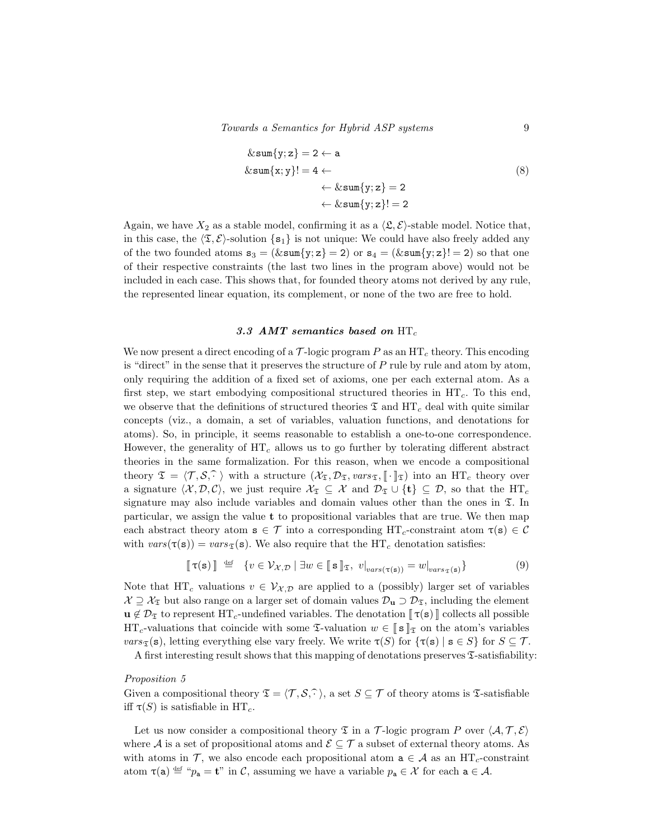$$
\&\text{sum}\{y; z\} = 2 \leftarrow \text{a}
$$
\n
$$
\&\text{sum}\{x; y\}!= 4 \leftarrow \\
&\leftarrow \&\text{sum}\{y; z\} = 2 \\
&\leftarrow \&\text{sum}\{y; z\}!= 2
$$
\n(8)

Again, we have  $X_2$  as a stable model, confirming it as a  $\langle \mathfrak{L}, \mathcal{E} \rangle$ -stable model. Notice that, in this case, the  $\langle \mathfrak{T}, \mathcal{E} \rangle$ -solution  $\{s_1\}$  is not unique: We could have also freely added any of the two founded atoms  $s_3 = (\& \text{sum}\{y; z\} = 2)$  or  $s_4 = (\& \text{sum}\{y; z\} = 2)$  so that one of their respective constraints (the last two lines in the program above) would not be included in each case. This shows that, for founded theory atoms not derived by any rule, the represented linear equation, its complement, or none of the two are free to hold.

# 3.3 AMT semantics based on  $HT_c$

<span id="page-8-1"></span>We now present a direct encoding of a  $\mathcal{T}$ -logic program P as an  $HT_c$  theory. This encoding is "direct" in the sense that it preserves the structure of  $P$  rule by rule and atom by atom, only requiring the addition of a fixed set of axioms, one per each external atom. As a first step, we start embodying compositional structured theories in  $HT<sub>c</sub>$ . To this end, we observe that the definitions of structured theories  $\mathfrak T$  and  $\mathrm{HT}_c$  deal with quite similar concepts (viz., a domain, a set of variables, valuation functions, and denotations for atoms). So, in principle, it seems reasonable to establish a one-to-one correspondence. However, the generality of  $HT_c$  allows us to go further by tolerating different abstract theories in the same formalization. For this reason, when we encode a compositional theory  $\mathfrak{T} = \langle \mathcal{T}, \mathcal{S}, \hat{\cdot} \rangle$  with a structure  $(\mathcal{X}_{\mathfrak{T}}, \mathcal{D}_{\mathfrak{T}}, \text{vars}_{\mathfrak{T}}, [\cdot]_{\mathfrak{T}})$  into an HT<sub>c</sub> theory over a signature  $\langle \mathcal{X}, \mathcal{D}, \mathcal{C} \rangle$ , we just require  $\mathcal{X}_{\mathfrak{T}} \subseteq \mathcal{X}$  and  $\mathcal{D}_{\mathfrak{T}} \cup \{t\} \subseteq \mathcal{D}$ , so that the HT<sub>c</sub> signature may also include variables and domain values other than the ones in  $\mathfrak{T}$ . In particular, we assign the value t to propositional variables that are true. We then map each abstract theory atom  $s \in \mathcal{T}$  into a corresponding  $HT_c$ -constraint atom  $\tau(s) \in \mathcal{C}$ with  $vars(\tau(s)) = vars_{\tau}(s)$ . We also require that the HT<sub>c</sub> denotation satisfies:

<span id="page-8-0"></span>
$$
\llbracket \tau(\mathbf{s}) \rrbracket \stackrel{\text{def}}{=} \{ v \in \mathcal{V}_{\mathcal{X}, \mathcal{D}} \mid \exists w \in \llbracket \mathbf{s} \rrbracket_{\mathfrak{T}}, \ v|_{vars(\tau(\mathbf{s}))} = w|_{vars(\tau(\mathbf{s}))} \}
$$
(9)

Note that HT<sub>c</sub> valuations  $v \in V_{\mathcal{X},\mathcal{D}}$  are applied to a (possibly) larger set of variables  $\mathcal{X} \supseteq \mathcal{X}_{\mathfrak{X}}$  but also range on a larger set of domain values  $\mathcal{D}_{\mathbf{u}} \supseteq \mathcal{D}_{\mathfrak{X}}$ , including the element  $u \notin \mathcal{D}_{\mathfrak{T}}$  to represent HT<sub>c</sub>-undefined variables. The denotation  $\llbracket \tau(s) \rrbracket$  collects all possible  $\text{HT}_c$ -valuations that coincide with some  $\mathfrak{T}$ -valuation  $w \in \llbracket s \rrbracket_{\mathfrak{T}}$  on the atom's variables  $vars_{\mathfrak{T}}(\mathbf{s})$ , letting everything else vary freely. We write  $\tau(S)$  for  $\{\tau(\mathbf{s}) \mid \mathbf{s} \in S\}$  for  $S \subseteq \mathcal{T}$ .

A first interesting result shows that this mapping of denotations preserves  $\mathfrak{T}$ -satisfiability:

#### Proposition 5

Given a compositional theory  $\mathfrak{T} = \langle \mathcal{T}, \mathcal{S}, \hat{\cdot} \rangle$ , a set  $S \subseteq \mathcal{T}$  of theory atoms is T-satisfiable iff  $\tau(S)$  is satisfiable in HT<sub>c</sub>.

Let us now consider a compositional theory  $\mathfrak T$  in a T-logic program P over  $\langle \mathcal A, \mathcal T, \mathcal E \rangle$ where  $\mathcal A$  is a set of propositional atoms and  $\mathcal E\subseteq\mathcal T$  a subset of external theory atoms. As with atoms in T, we also encode each propositional atom  $a \in A$  as an  $HT_c$ -constraint atom  $\tau(\mathsf{a}) \stackrel{\text{def}}{=} \mu_{\mathsf{a}} = \mathsf{t}^n$  in C, assuming we have a variable  $p_{\mathsf{a}} \in \mathcal{X}$  for each  $\mathsf{a} \in \mathcal{A}$ .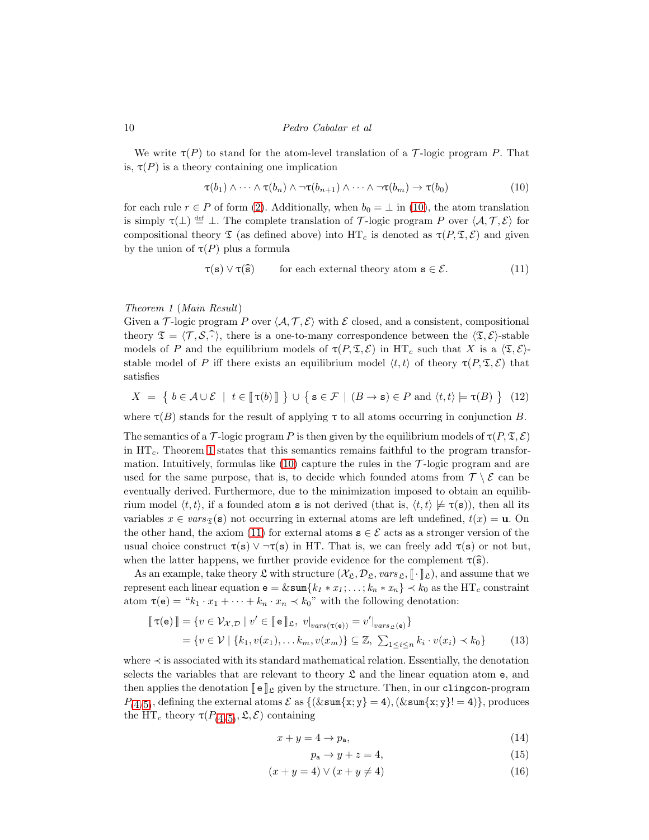We write  $\tau(P)$  to stand for the atom-level translation of a T-logic program P. That is,  $\tau(P)$  is a theory containing one implication

<span id="page-9-0"></span>
$$
\tau(b_1) \wedge \cdots \wedge \tau(b_n) \wedge \neg \tau(b_{n+1}) \wedge \cdots \wedge \neg \tau(b_m) \rightarrow \tau(b_0)
$$
\n(10)

for each rule  $r \in P$  of form [\(2\)](#page-1-0). Additionally, when  $b_0 = \perp$  in [\(10\)](#page-9-0), the atom translation is simply  $\tau(\perp) \stackrel{\text{def}}{=} \perp$ . The complete translation of T-logic program P over  $\langle A, \mathcal{T}, \mathcal{E} \rangle$  for compositional theory  $\mathfrak T$  (as defined above) into  $\mathrm{HT}_c$  is denoted as  $\tau(P, \mathfrak T, \mathcal{E})$  and given by the union of  $\tau(P)$  plus a formula

<span id="page-9-7"></span><span id="page-9-2"></span>
$$
\tau(s) \lor \tau(\widehat{s}) \qquad \text{for each external theory atom } s \in \mathcal{E}.
$$
 (11)

# <span id="page-9-1"></span>Theorem 1 (Main Result)

Given a T-logic program P over  $\langle A, \mathcal{T}, \mathcal{E} \rangle$  with E closed, and a consistent, compositional theory  $\mathfrak{T} = \langle \mathcal{T}, \mathcal{S}, \hat{\cdot} \rangle$ , there is a one-to-many correspondence between the  $\langle \mathfrak{T}, \mathcal{E} \rangle$ -stable models of P and the equilibrium models of  $\tau(P, \mathfrak{T}, \mathcal{E})$  in  $HT_c$  such that X is a  $\langle \mathfrak{T}, \mathcal{E} \rangle$ stable model of P iff there exists an equilibrium model  $\langle t, t \rangle$  of theory  $\tau(P, \mathfrak{T}, \mathcal{E})$  that satisfies

$$
X = \{ b \in \mathcal{A} \cup \mathcal{E} \mid t \in [\![\tau(b)]\!] \} \cup \{ s \in \mathcal{F} \mid (B \to s) \in P \text{ and } \langle t, t \rangle \models \tau(B) \} \tag{12}
$$

where  $\tau(B)$  stands for the result of applying  $\tau$  to all atoms occurring in conjunction B.

The semantics of a T-logic program P is then given by the equilibrium models of  $\tau(P, \mathfrak{T}, \mathcal{E})$ in  $HT_c$ . Theorem [1](#page-9-1) states that this semantics remains faithful to the program transformation. Intuitively, formulas like  $(10)$  capture the rules in the  $\mathcal{T}$ -logic program and are used for the same purpose, that is, to decide which founded atoms from  $\mathcal{T} \setminus \mathcal{E}$  can be eventually derived. Furthermore, due to the minimization imposed to obtain an equilibrium model  $\langle t, t \rangle$ , if a founded atom **s** is not derived (that is,  $\langle t, t \rangle \not\models \tau(\mathbf{s})$ ), then all its variables  $x \in vars_{\mathfrak{T}}(\mathbf{s})$  not occurring in external atoms are left undefined,  $t(x) = \mathbf{u}$ . On the other hand, the axiom [\(11\)](#page-9-2) for external atoms  $s \in \mathcal{E}$  acts as a stronger version of the usual choice construct  $\tau(s) \vee \neg \tau(s)$  in HT. That is, we can freely add  $\tau(s)$  or not but, when the latter happens, we further provide evidence for the complement  $\tau(\hat{s})$ .

As an example, take theory  $\mathfrak L$  with structure  $(\mathcal X_{\mathfrak L}, \mathcal D_{\mathfrak L}, \text{vars}_{\mathfrak L}, \llbracket \cdot \rrbracket_{\mathfrak L})$ , and assume that we represent each linear equation  $e = \& \text{sum}\{k_1 * x_1; \ldots; k_n * x_n\} \prec k_0$  as the HT<sub>c</sub> constraint atom  $\tau(e) = "k_1 \cdot x_1 + \cdots + k_n \cdot x_n \prec k_0"$  with the following denotation:

$$
\begin{aligned} [\![\,\tau(\mathbf{e})\,]\!] &= \{ v \in \mathcal{V}_{\mathcal{X},\mathcal{D}} \mid v' \in [\![\,\mathbf{e}\,]\!]_{\mathfrak{L}}, \ v|_{vars(\tau(\mathbf{e}))} = v'|_{vars_{\mathfrak{L}}(\mathbf{e})} \} \\ &= \{ v \in \mathcal{V} \mid \{k_1, v(x_1), \dots k_m, v(x_m)\} \subseteq \mathbb{Z}, \ \sum_{1 \leq i \leq n} k_i \cdot v(x_i) \prec k_0 \} \end{aligned} \tag{13}
$$

where ≺ is associated with its standard mathematical relation. Essentially, the denotation selects the variables that are relevant to theory  $\mathfrak L$  and the linear equation atom e, and then applies the denotation  $\llbracket e \rrbracket$  given by the structure. Then, in our clingcon-program  $P_{(4/5)}$  $P_{(4/5)}$  $P_{(4/5)}$  $P_{(4/5)}$  $P_{(4/5)}$ , defining the external atoms  $\mathcal E$  as  $\{(\&\texttt{sum}\{x,y\}=4),(\&\texttt{sum}\{x,y\}!=4)\}\,$ , produces the  $\overline{\text{HT}}_c$  theory  $\tau(P_{(4/5)}, \mathfrak{L}, \mathcal{E})$  $\tau(P_{(4/5)}, \mathfrak{L}, \mathcal{E})$  $\tau(P_{(4/5)}, \mathfrak{L}, \mathcal{E})$  $\tau(P_{(4/5)}, \mathfrak{L}, \mathcal{E})$  $\tau(P_{(4/5)}, \mathfrak{L}, \mathcal{E})$  containing

$$
x + y = 4 \to p_{\mathsf{a}},\tag{14}
$$

<span id="page-9-6"></span><span id="page-9-5"></span><span id="page-9-4"></span><span id="page-9-3"></span>
$$
p_a \to y + z = 4,\tag{15}
$$

$$
(x+y=4) \lor (x+y \neq 4) \tag{16}
$$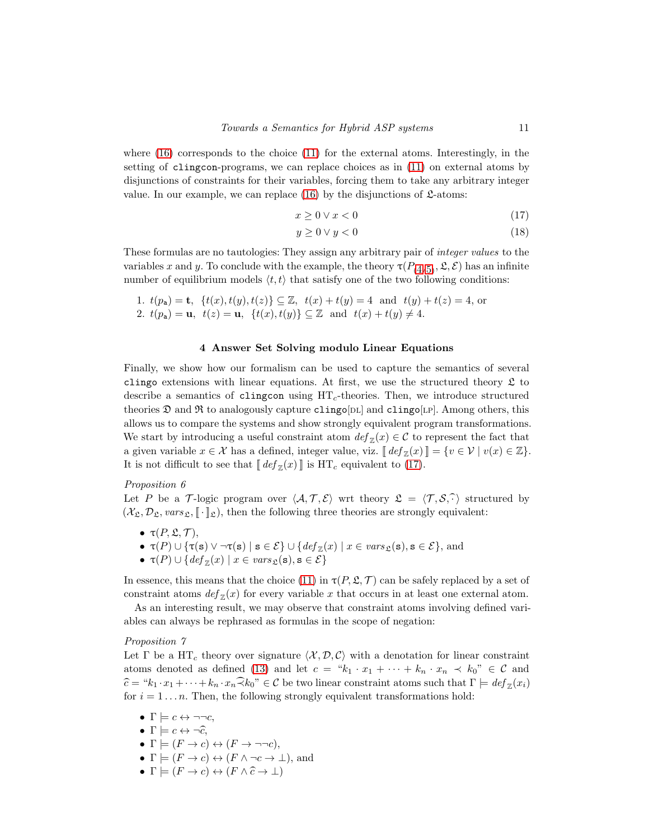where  $(16)$  corresponds to the choice  $(11)$  for the external atoms. Interestingly, in the setting of clingcon-programs, we can replace choices as in [\(11\)](#page-9-2) on external atoms by disjunctions of constraints for their variables, forcing them to take any arbitrary integer value. In our example, we can replace  $(16)$  by the disjunctions of  $\mathfrak{L}\text{-atoms}$ :

<span id="page-10-0"></span>
$$
x \ge 0 \lor x < 0 \tag{17}
$$

$$
y \ge 0 \lor y < 0 \tag{18}
$$

These formulas are no tautologies: They assign any arbitrary pair of integer values to the variables x and y. To conclude with the example, the theory  $\tau(P_{(4/5)}, \mathfrak{L}, \mathcal{E})$  $\tau(P_{(4/5)}, \mathfrak{L}, \mathcal{E})$  $\tau(P_{(4/5)}, \mathfrak{L}, \mathcal{E})$  $\tau(P_{(4/5)}, \mathfrak{L}, \mathcal{E})$  $\tau(P_{(4/5)}, \mathfrak{L}, \mathcal{E})$  has an infinite number of equilibrium models  $\langle t, t \rangle$  that satisfy one of the two following conditions:

1. 
$$
t(p_a) = \mathbf{t}
$$
,  $\{t(x), t(y), t(z)\} \subseteq \mathbb{Z}$ ,  $t(x) + t(y) = 4$  and  $t(y) + t(z) = 4$ , or  
\n2.  $t(p_a) = \mathbf{u}$ ,  $t(z) = \mathbf{u}$ ,  $\{t(x), t(y)\} \subseteq \mathbb{Z}$  and  $t(x) + t(y) \neq 4$ .

# <span id="page-10-1"></span>4 Answer Set Solving modulo Linear Equations

Finally, we show how our formalism can be used to capture the semantics of several clingo extensions with linear equations. At first, we use the structured theory  $\mathfrak L$  to describe a semantics of clingcon using  $HT<sub>c</sub>$ -theories. Then, we introduce structured theories  $\mathfrak D$  and  $\mathfrak R$  to analogously capture clingo[DL] and clingo[LP]. Among others, this allows us to compare the systems and show strongly equivalent program transformations. We start by introducing a useful constraint atom  $def_{\mathbb{Z}}(x) \in \mathcal{C}$  to represent the fact that a given variable  $x \in \mathcal{X}$  has a defined, integer value, viz.  $[[def_{\mathbb{Z}}(x)]] = \{v \in \mathcal{V} \mid v(x) \in \mathbb{Z}\}.$ It is not difficult to see that  $[\![def_{\mathbb{Z}}(x)]\!]$  is  $\text{HT}_c$  equivalent to [\(17\)](#page-10-0).

# Proposition 6

Let P be a T-logic program over  $\langle A, T, \mathcal{E} \rangle$  wrt theory  $\mathfrak{L} = \langle T, \mathcal{S}, \hat{\cdot} \rangle$  structured by  $(\mathcal{X}_\mathfrak{L}, \mathcal{D}_\mathfrak{L}, vars_\mathfrak{L}, [\![\cdot]\!]_\mathfrak{L})$ , then the following three theories are strongly equivalent:

- $\bullet \tau(P, \mathfrak{L}, \mathcal{T}),$
- $\tau(P) \cup {\tau(s) \lor \neg \tau(s) \mid s \in \mathcal{E}} \cup \{ \text{def}_{\mathbb{Z}}(x) \mid x \in \text{vars}_{\mathfrak{L}}(s), s \in \mathcal{E} \},\$ and
- <span id="page-10-2"></span>•  $\tau(P) \cup \{ def_{\mathbb{Z}}(x) \mid x \in vars_{\mathfrak{L}}(\mathbf{s}), \mathbf{s} \in \mathcal{E} \}$

In essence, this means that the choice [\(11\)](#page-9-2) in  $\tau(P, \mathfrak{L}, \mathcal{T})$  can be safely replaced by a set of constraint atoms  $def_{\mathbb{Z}}(x)$  for every variable x that occurs in at least one external atom.

As an interesting result, we may observe that constraint atoms involving defined variables can always be rephrased as formulas in the scope of negation:

# Proposition 7

Let  $\Gamma$  be a HT<sub>c</sub> theory over signature  $\langle \mathcal{X}, \mathcal{D}, \mathcal{C} \rangle$  with a denotation for linear constraint atoms denoted as defined [\(13\)](#page-9-4) and let  $c = "k_1 \cdot x_1 + \cdots + k_n \cdot x_n \prec k_0" \in \mathcal{C}$  and  $\widehat{c} = "k_1 \cdot x_1 + \cdots + k_n \cdot x_n \widehat{\prec} k_0" \in \mathcal{C}$  be two linear constraint atoms such that  $\Gamma \models def_{\mathbb{Z}}(x_i)$ for  $i = 1 \ldots n$ . Then, the following strongly equivalent transformations hold:

- $\Gamma \models c \leftrightarrow \neg \neg c$ ,
- $\Gamma \models c \leftrightarrow \neg \widehat{c}$ ,
- $\Gamma \models (F \rightarrow c) \leftrightarrow (F \rightarrow \neg\neg c),$
- $\Gamma \models (F \rightarrow c) \leftrightarrow (F \land \neg c \rightarrow \bot)$ , and
- $\Gamma \models (F \rightarrow c) \leftrightarrow (F \land \hat{c} \rightarrow \bot)$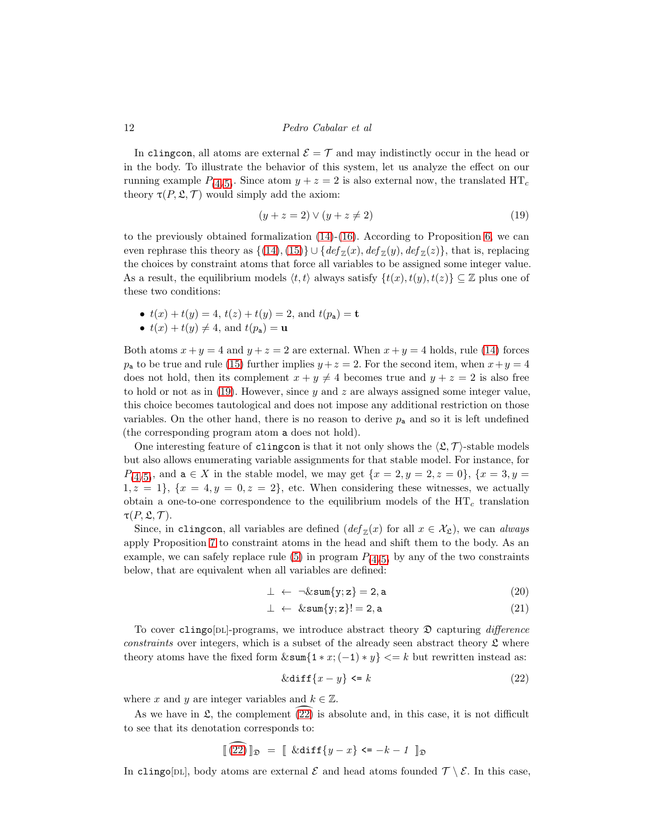In clingcon, all atoms are external  $\mathcal{E} = \mathcal{T}$  and may indistinctly occur in the head or in the body. To illustrate the behavior of this system, let us analyze the effect on our running example  $P_{(4/5)}$  $P_{(4/5)}$  $P_{(4/5)}$  $P_{(4/5)}$  $P_{(4/5)}$ . Since atom  $y + z = 2$  is also external now, the translated  $HT_c$ theory  $\tau(P, \mathfrak{L}, \mathcal{T})$  would simply add the axiom:

<span id="page-11-0"></span>
$$
(y+z=2) \lor (y+z \neq 2) \tag{19}
$$

to the previously obtained formalization  $(14)-(16)$  $(14)-(16)$ . According to Proposition [6,](#page-10-1) we can even rephrase this theory as  $\{(14), (15)\}\cup \{def_{\mathbb{Z}}(x), def_{\mathbb{Z}}(y), def_{\mathbb{Z}}(z)\},\$  $\{(14), (15)\}\cup \{def_{\mathbb{Z}}(x), def_{\mathbb{Z}}(y), def_{\mathbb{Z}}(z)\},\$  $\{(14), (15)\}\cup \{def_{\mathbb{Z}}(x), def_{\mathbb{Z}}(y), def_{\mathbb{Z}}(z)\},\$  $\{(14), (15)\}\cup \{def_{\mathbb{Z}}(x), def_{\mathbb{Z}}(y), def_{\mathbb{Z}}(z)\},\$  $\{(14), (15)\}\cup \{def_{\mathbb{Z}}(x), def_{\mathbb{Z}}(y), def_{\mathbb{Z}}(z)\},\$  that is, replacing the choices by constraint atoms that force all variables to be assigned some integer value. As a result, the equilibrium models  $\langle t, t \rangle$  always satisfy  $\{t(x), t(y), t(z)\} \subseteq \mathbb{Z}$  plus one of these two conditions:

- $t(x) + t(y) = 4$ ,  $t(z) + t(y) = 2$ , and  $t(p_a) = t$
- $t(x) + t(y) \neq 4$ , and  $t(p_a) = u$

Both atoms  $x + y = 4$  and  $y + z = 2$  are external. When  $x + y = 4$  holds, rule [\(14\)](#page-9-5) forces  $p_a$  to be true and rule [\(15\)](#page-9-6) further implies  $y + z = 2$ . For the second item, when  $x + y = 4$ does not hold, then its complement  $x + y \neq 4$  becomes true and  $y + z = 2$  is also free to hold or not as in  $(19)$ . However, since y and z are always assigned some integer value, this choice becomes tautological and does not impose any additional restriction on those variables. On the other hand, there is no reason to derive  $p_a$  and so it is left undefined (the corresponding program atom a does not hold).

One interesting feature of clingcon is that it not only shows the  $\langle \mathfrak{L}, \mathcal{T} \rangle$ -stable models but also allows enumerating variable assignments for that stable model. For instance, for  $P_{(4/5)}$  $P_{(4/5)}$  $P_{(4/5)}$  $P_{(4/5)}$  $P_{(4/5)}$ , and  $a \in X$  in the stable model, we may get  $\{x = 2, y = 2, z = 0\}$ ,  $\{x = 3, y = 1\}$  $1, z = 1$ ,  $\{x = 4, y = 0, z = 2\}$ , etc. When considering these witnesses, we actually obtain a one-to-one correspondence to the equilibrium models of the  $HT_c$  translation  $\tau(P, \mathfrak{L}, \mathcal{T}).$ 

Since, in clingcon, all variables are defined  $(\text{def}_{\mathbb{Z}}(x)$  for all  $x \in \mathcal{X}_{\mathfrak{L}})$ , we can always apply Proposition [7](#page-10-2) to constraint atoms in the head and shift them to the body. As an example, we can safely replace rule [\(5\)](#page-2-1) in program  $P_{(4/5)}$  $P_{(4/5)}$  $P_{(4/5)}$  $P_{(4/5)}$  $P_{(4/5)}$  by any of the two constraints below, that are equivalent when all variables are defined:

$$
\perp \ \leftarrow \ \neg \& \text{sum}\{y; z\} = 2, a \tag{20}
$$

$$
\perp \leftarrow \&\texttt{sum}\{y; z\}!=2, a \tag{21}
$$

To cover clingo[DL]-programs, we introduce abstract theory  $\mathfrak D$  capturing difference constraints over integers, which is a subset of the already seen abstract theory  $\mathfrak L$  where theory atoms have the fixed form  $\&\text{sum}\{1 * x; (-1) * y\} \leq k$  but rewritten instead as:

<span id="page-11-1"></span>
$$
\&\text{diff}\{x-y\} \le k \tag{22}
$$

where x and y are integer variables and  $k \in \mathbb{Z}$ .

As we have in  $\mathfrak{L}$ , the complement [\(22\)](#page-11-1) is absolute and, in this case, it is not difficult to see that its denotation corresponds to:

$$
\left[\widehat{(22)}\right]\mathbb{I}_{\mathfrak{D}} = \left[\left(k\text{diff}\left\{y-x\right\}\right]\left\langle z-x\right\rangle - k - 1\right]\mathbb{I}_{\mathfrak{D}}
$$

In clingo[DL], body atoms are external  $\mathcal E$  and head atoms founded  $\mathcal T \setminus \mathcal E$ . In this case,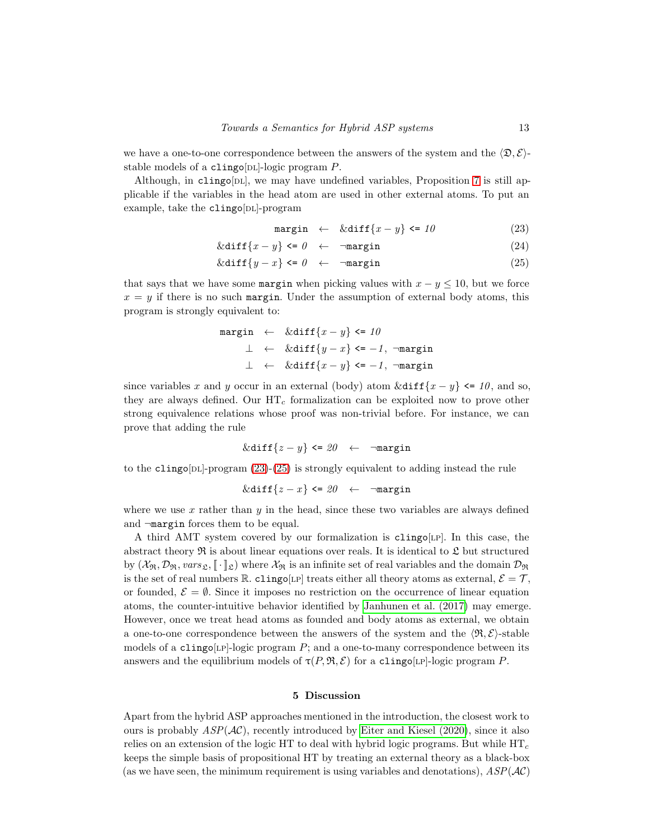we have a one-to-one correspondence between the answers of the system and the  $\langle \mathfrak{D}, \mathcal{E} \rangle$ stable models of a clingo[DL]-logic program  $P$ .

Although, in clingo[DL], we may have undefined variables, Proposition [7](#page-10-2) is still applicable if the variables in the head atom are used in other external atoms. To put an example, take the clingo[DL]-program

<span id="page-12-0"></span>
$$
\text{margin} \leftarrow \&\text{diff}\{x - y\} \leftarrow 10 \tag{23}
$$

$$
\&\text{diff}\{x-y\} \leftarrow -\text{margin} \tag{24}
$$

$$
\&\text{diff}\{y-x\} \leftarrow -\text{margin} \tag{25}
$$

that says that we have some margin when picking values with  $x - y \leq 10$ , but we force  $x = y$  if there is no such margin. Under the assumption of external body atoms, this program is strongly equivalent to:

$$
\begin{array}{rcl}\n\texttt{margin} & \leftarrow & \& \texttt{diff}\{x - y\} \leq 10 \\
\perp & \leftarrow & \& \texttt{diff}\{y - x\} \leq -1, \; \neg \texttt{margin} \\
\perp & \leftarrow & \& \texttt{diff}\{x - y\} \leq -1, \; \neg \texttt{margin}\n\end{array}
$$

since variables x and y occur in an external (body) atom  $\&diff\{x - y\} \leq 10$ , and so, they are always defined. Our  $HT_c$  formalization can be exploited now to prove other strong equivalence relations whose proof was non-trivial before. For instance, we can prove that adding the rule

$$
\&\text{diff}\{z-y\} \leftarrow \neg \text{margin}
$$

to the clingo[DL]-program  $(23)-(25)$  $(23)-(25)$  is strongly equivalent to adding instead the rule

$$
\&\text{diff}\{z-x\}\leq 20 \quad\leftarrow \quad \neg \text{margin}
$$

where we use  $x$  rather than  $y$  in the head, since these two variables are always defined and ¬margin forces them to be equal.

A third AMT system covered by our formalization is clingo[lp]. In this case, the abstract theory  $\Re$  is about linear equations over reals. It is identical to  $\mathfrak L$  but structured by  $(X_{\mathfrak{R}}, \mathcal{D}_{\mathfrak{R}}, vars_{\mathfrak{L}}, \llbracket \cdot \rrbracket_{\mathfrak{L}})$  where  $X_{\mathfrak{R}}$  is an infinite set of real variables and the domain  $\mathcal{D}_{\mathfrak{R}}$ is the set of real numbers R. clingo[LP] treats either all theory atoms as external,  $\mathcal{E} = \mathcal{T}$ , or founded,  $\mathcal{E} = \emptyset$ . Since it imposes no restriction on the occurrence of linear equation atoms, the counter-intuitive behavior identified by [Janhunen et al.](#page-14-5) (2017) may emerge. However, once we treat head atoms as founded and body atoms as external, we obtain a one-to-one correspondence between the answers of the system and the  $\langle \mathfrak{R}, \mathcal{E} \rangle$ -stable models of a clingo[LP]-logic program  $P$ ; and a one-to-many correspondence between its answers and the equilibrium models of  $\tau(P, \mathfrak{R}, \mathcal{E})$  for a clingo[LP]-logic program P.

#### 5 Discussion

Apart from the hybrid ASP approaches mentioned in the introduction, the closest work to ours is probably  $ASP(\mathcal{AC})$ , recently introduced by [Eiter and Kiesel \(2020\)](#page-13-7), since it also relies on an extension of the logic HT to deal with hybrid logic programs. But while  $HT_c$ keeps the simple basis of propositional HT by treating an external theory as a black-box (as we have seen, the minimum requirement is using variables and denotations),  $ASP(\mathcal{AC})$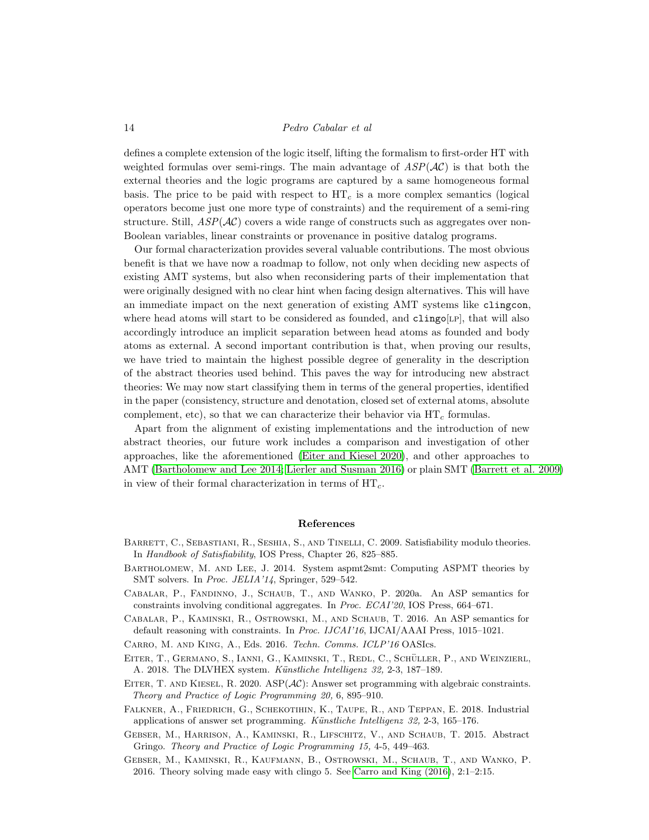defines a complete extension of the logic itself, lifting the formalism to first-order HT with weighted formulas over semi-rings. The main advantage of  $ASP(\mathcal{AC})$  is that both the external theories and the logic programs are captured by a same homogeneous formal basis. The price to be paid with respect to  $HT_c$  is a more complex semantics (logical operators become just one more type of constraints) and the requirement of a semi-ring structure. Still,  $ASP(\mathcal{AC})$  covers a wide range of constructs such as aggregates over non-Boolean variables, linear constraints or provenance in positive datalog programs.

Our formal characterization provides several valuable contributions. The most obvious benefit is that we have now a roadmap to follow, not only when deciding new aspects of existing AMT systems, but also when reconsidering parts of their implementation that were originally designed with no clear hint when facing design alternatives. This will have an immediate impact on the next generation of existing AMT systems like clingcon, where head atoms will start to be considered as founded, and  $\text{clingo}[LP]$ , that will also accordingly introduce an implicit separation between head atoms as founded and body atoms as external. A second important contribution is that, when proving our results, we have tried to maintain the highest possible degree of generality in the description of the abstract theories used behind. This paves the way for introducing new abstract theories: We may now start classifying them in terms of the general properties, identified in the paper (consistency, structure and denotation, closed set of external atoms, absolute complement, etc), so that we can characterize their behavior via  $HT_c$  formulas.

Apart from the alignment of existing implementations and the introduction of new abstract theories, our future work includes a comparison and investigation of other approaches, like the aforementioned [\(Eiter and Kiesel 2020\)](#page-13-7), and other approaches to AMT [\(Bartholomew and Lee 2014;](#page-13-8) [Lierler and Susman 2016\)](#page-14-6) or plain SMT [\(Barrett et al. 2009\)](#page-13-2) in view of their formal characterization in terms of  $HT_c$ .

#### References

- <span id="page-13-2"></span>BARRETT, C., SEBASTIANI, R., SESHIA, S., AND TINELLI, C. 2009. Satisfiability modulo theories. In Handbook of Satisfiability, IOS Press, Chapter 26, 825–885.
- <span id="page-13-8"></span>Bartholomew, M. and Lee, J. 2014. System aspmt2smt: Computing ASPMT theories by SMT solvers. In Proc. JELIA'14, Springer, 529–542.
- <span id="page-13-6"></span>Cabalar, P., Fandinno, J., Schaub, T., and Wanko, P. 2020a. An ASP semantics for constraints involving conditional aggregates. In Proc. ECAI'20, IOS Press, 664–671.
- <span id="page-13-4"></span>Cabalar, P., Kaminski, R., Ostrowski, M., and Schaub, T. 2016. An ASP semantics for default reasoning with constraints. In Proc. IJCAI'16, IJCAI/AAAI Press, 1015–1021.

<span id="page-13-9"></span>Carro, M. and King, A., Eds. 2016. Techn. Comms. ICLP'16 OASIcs.

- <span id="page-13-3"></span>EITER, T., GERMANO, S., IANNI, G., KAMINSKI, T., REDL, C., SCHÜLLER, P., AND WEINZIERL, A. 2018. The DLVHEX system. Künstliche Intelligenz 32, 2-3, 187-189.
- <span id="page-13-7"></span>EITER, T. AND KIESEL, R. 2020. ASP $(\mathcal{AC})$ : Answer set programming with algebraic constraints. Theory and Practice of Logic Programming 20, 6, 895–910.
- <span id="page-13-1"></span>Falkner, A., Friedrich, G., Schekotihin, K., Taupe, R., and Teppan, E. 2018. Industrial applications of answer set programming. K¨unstliche Intelligenz 32, 2-3, 165–176.
- <span id="page-13-0"></span>Gebser, M., Harrison, A., Kaminski, R., Lifschitz, V., and Schaub, T. 2015. Abstract Gringo. Theory and Practice of Logic Programming 15, 4-5, 449–463.
- <span id="page-13-5"></span>Gebser, M., Kaminski, R., Kaufmann, B., Ostrowski, M., Schaub, T., and Wanko, P. 2016. Theory solving made easy with clingo 5. See [Carro and King \(2016\)](#page-13-9), 2:1–2:15.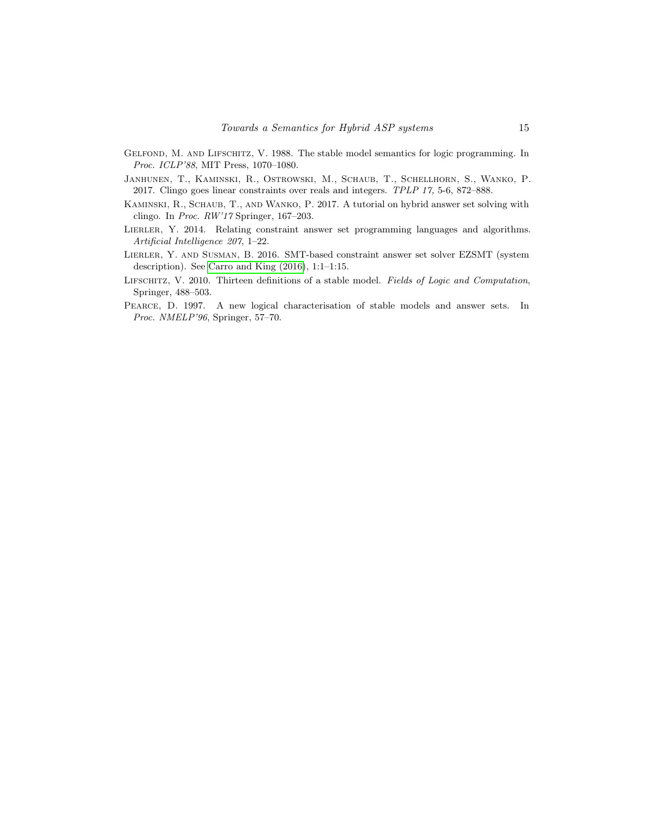- <span id="page-14-1"></span>Gelfond, M. and Lifschitz, V. 1988. The stable model semantics for logic programming. In Proc. ICLP'88, MIT Press, 1070–1080.
- <span id="page-14-5"></span>Janhunen, T., Kaminski, R., Ostrowski, M., Schaub, T., Schellhorn, S., Wanko, P. 2017. Clingo goes linear constraints over reals and integers. TPLP 17, 5-6, 872–888.
- <span id="page-14-3"></span>Kaminski, R., Schaub, T., and Wanko, P. 2017. A tutorial on hybrid answer set solving with clingo. In Proc. RW'17 Springer, 167–203.
- <span id="page-14-2"></span>LIERLER, Y. 2014. Relating constraint answer set programming languages and algorithms. Artificial Intelligence 207, 1–22.
- <span id="page-14-6"></span>LIERLER, Y. AND SUSMAN, B. 2016. SMT-based constraint answer set solver EZSMT (system description). See [Carro and King \(2016\)](#page-13-9), 1:1–1:15.
- <span id="page-14-0"></span>LIFSCHITZ, V. 2010. Thirteen definitions of a stable model. Fields of Logic and Computation, Springer, 488–503.
- <span id="page-14-4"></span>Pearce, D. 1997. A new logical characterisation of stable models and answer sets. In Proc. NMELP'96, Springer, 57–70.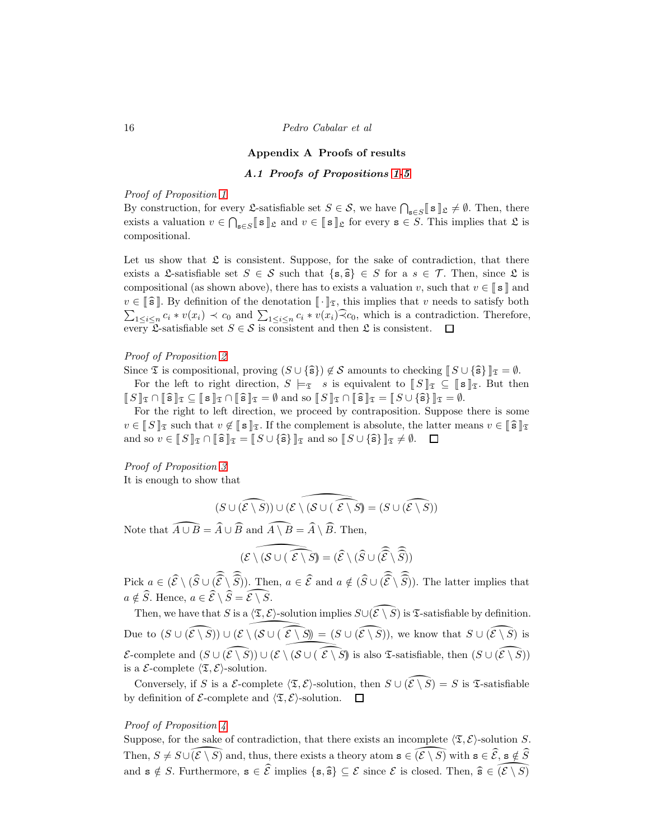#### Appendix A Proofs of results

# A.1 Proofs of Propositions [1](#page-6-1)[-5](#page-8-0)

#### Proof of Proposition [1](#page-6-1)

By construction, for every  $\mathfrak{L}$ -satisfiable set  $S \in \mathcal{S}$ , we have  $\bigcap_{s \in S} \llbracket s \rrbracket_{\mathfrak{L}} \neq \emptyset$ . Then, there exists a valuation  $v \in \bigcap_{\mathbf{s} \in S} [\![ \mathbf{s} ]\!]_{\mathfrak{L}}$  and  $v \in [\![ \mathbf{s} ]\!]_{\mathfrak{L}}$  for every  $\mathbf{s} \in S$ . This implies that  $\mathfrak{L}$  is compositional.

Let us show that  $\mathfrak L$  is consistent. Suppose, for the sake of contradiction, that there exists a L-satisfiable set  $S \in \mathcal{S}$  such that  $\{s, \hat{s}\}\in S$  for a  $s \in \mathcal{T}$ . Then, since L is compositional (as shown above), there has to exists a valuation v, such that  $v \in \llbracket s \rrbracket$  and  $v \in \llbracket \widehat{\mathbf{s}} \rrbracket$ . By definition of the denotation  $\llbracket \cdot \rrbracket_{\mathfrak{T}}$ , this implies that v needs to satisfy both  $\sum_{1 \leq i \leq n} c_i * v(x_i) \prec c_0$  and  $\sum_{1 \leq i \leq n} c_i * v(x_i) \widehat{\prec} c_0$ , which is a contradiction. Therefore, every  $\mathcal{L}$ -satisfiable set  $S \in \mathcal{S}$  is consistent and then  $\mathcal{L}$  is consistent.  $\square$ 

# Proof of Proposition [2](#page-6-2)

Since  $\mathfrak T$  is compositional, proving  $(S \cup \{\hat{\mathbf{s}}\}) \notin \mathcal S$  amounts to checking  $\llbracket S \cup \{\hat{\mathbf{s}}\}\rrbracket_{\mathfrak T} = \emptyset$ . For the left to right direction,  $S \models_{\mathfrak{T}} s$  is equivalent to  $\llbracket S \rrbracket_{\mathfrak{T}} \subseteq \llbracket s \rrbracket_{\mathfrak{T}}$ . But then  $\llbracket S \rrbracket_{\mathfrak{T}} \cap \llbracket \widehat{\mathbf{s}} \rrbracket_{\mathfrak{T}} \subseteq \llbracket \mathbf{s} \rrbracket_{\mathfrak{T}} \cap \llbracket \widehat{\mathbf{s}} \rrbracket_{\mathfrak{T}} = \emptyset$  and so  $\llbracket S \rrbracket_{\mathfrak{T}} \cap \llbracket \widehat{\mathbf{s}} \rrbracket_{\mathfrak{T}} = \llbracket S \cup \{\widehat{\mathbf{s}}\} \rrbracket_{\mathfrak{T}} = \emptyset$ .

For the right to left direction, we proceed by contraposition. Suppose there is some  $v \in \llbracket S \rrbracket_{\mathfrak{T}}$  such that  $v \notin \llbracket s \rrbracket_{\mathfrak{T}}$ . If the complement is absolute, the latter means  $v \in \llbracket \widehat{s} \rrbracket_{\mathfrak{T}}$ and so  $v \in \llbracket S \rrbracket_{\mathfrak{T}} \cap \llbracket \widehat{\mathbf{s}} \rrbracket_{\mathfrak{T}} = \llbracket S \cup \{\widehat{\mathbf{s}}\} \rrbracket_{\mathfrak{T}}$  and so  $\llbracket S \cup \{\widehat{\mathbf{s}}\} \rrbracket_{\mathfrak{T}} \neq \emptyset$ .  $\Box$ 

# Proof of Proposition [3](#page-7-0)

It is enough to show that

$$
(S\cup(\widehat{{\mathcal E}\setminus S}))\cup(\widehat{{\mathcal E}\setminus({\mathcal S}\cup(\ \widehat{{\mathcal E}\setminus S})}=(S\cup(\widehat{{\mathcal E}\setminus S}))
$$

Note that  $\widehat{A \cup B} = \widehat{A} \cup \widehat{B}$  and  $\widehat{A \setminus B} = \widehat{A} \setminus \widehat{B}$ . Then,

$$
\widehat{(\mathcal{E}\setminus(\mathcal{S}\cup(\ \widehat{\mathcal{E}\setminus S})}=(\widehat{\mathcal{E}}\setminus(\widehat{S}\cup(\widehat{\widehat{\mathcal{E}}}\setminus\widehat{\widehat{S}}))
$$

Pick  $a \in (\widehat{\mathcal{E}} \setminus (\widehat{S} \cup (\widehat{\widehat{\mathcal{E}}} \setminus \widehat{S}))$ . Then,  $a \in \widehat{\mathcal{E}}$  and  $a \notin (\widehat{S} \cup (\widehat{\widehat{\mathcal{E}}} \setminus \widehat{S}))$ . The latter implies that  $a \notin \widehat{S}$ . Hence,  $a \in \widehat{\mathcal{E}} \setminus \widehat{S} = \widehat{\mathcal{E} \setminus S}$ .

Then, we have that S is a  $\langle \mathfrak{T}, \mathcal{E} \rangle$ -solution implies  $S \cup (\widehat{\mathcal{E} \setminus S})$  is  $\mathfrak{T}$ -satisfiable by definition. Due to  $(S \cup (\widehat{\mathcal{E} \setminus S}) \cup (\mathcal{E} \setminus (S \cup (\widehat{\mathcal{E} \setminus S})) = (S \cup (\widehat{\mathcal{E} \setminus S}))$ , we know that  $S \cup (\widehat{\mathcal{E} \setminus S})$  is  $\mathcal{E}\text{-complete}$  and  $(S \cup (\widehat{\mathcal{E} \setminus S}) \cup (\mathcal{E} \setminus (\mathcal{S} \cup (\widehat{\mathcal{E} \setminus S}))$  is also *T*-satisfiable, then  $(S \cup (\widehat{\mathcal{E} \setminus S}))$ is a  $\mathcal{E}\text{-complete } \langle \mathfrak{T}, \mathcal{E} \rangle\text{-solution.}$ 

Conversely, if S is a E-complete  $\langle \mathfrak{T}, \mathcal{E} \rangle$ -solution, then  $S \cup (\widehat{\mathcal{E} \setminus S}) = S$  is T-satisfiable by definition of  $\mathcal{E}\text{-complete}$  and  $\langle \mathfrak{T}, \mathcal{E} \rangle\text{-solution.}$ 

#### Proof of Proposition  $\lambda$

Suppose, for the sake of contradiction, that there exists an incomplete  $\langle \mathfrak{T}, \mathcal{E} \rangle$ -solution S. Then,  $S \neq S \cup (\mathcal{E} \setminus \overline{S})$  and, thus, there exists a theory atom  $\mathbf{s} \in \widehat{(\mathcal{E} \setminus S)}$  with  $\mathbf{s} \in \widehat{\mathcal{E}}$ ,  $\mathbf{s} \notin \widehat{S}$ and  $\mathbf{s} \notin S$ . Furthermore,  $\mathbf{s} \in \widehat{\mathcal{E}}$  implies  $\{\mathbf{s}, \widehat{\mathbf{s}}\} \subseteq \mathcal{E}$  since  $\mathcal{E}$  is closed. Then,  $\widehat{\mathbf{s}} \in \widehat{(\mathcal{E} \setminus S)}$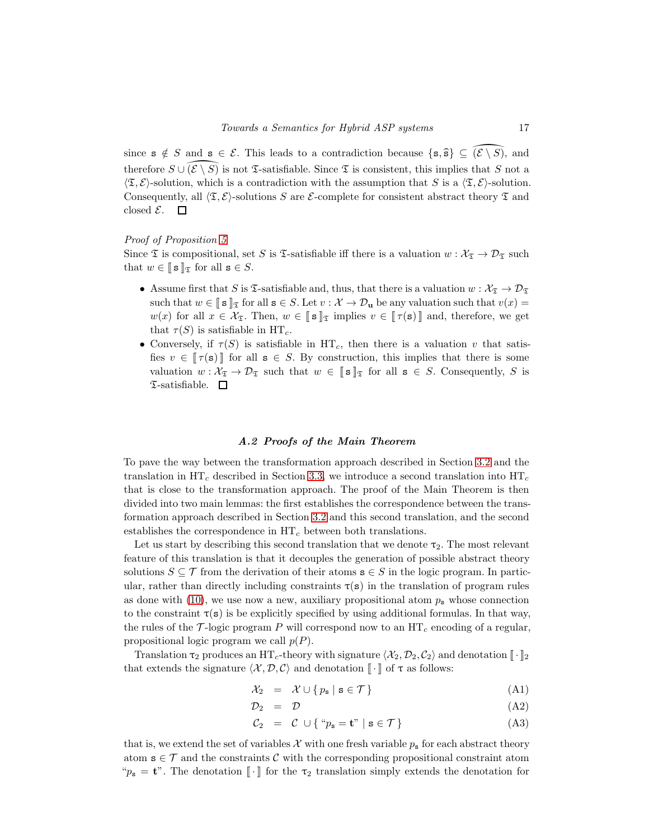since  $s \notin S$  and  $s \in \mathcal{E}$ . This leads to a contradiction because  $\{s, \hat{s}\}\subseteq (\mathcal{E}\setminus S)$ , and therefore  $S \cup \{E \setminus \overline{S}\}$  is not  $\mathfrak T$ -satisfiable. Since  $\mathfrak T$  is consistent, this implies that S not a  $\langle \mathfrak{T}, \mathcal{E} \rangle$ -solution, which is a contradiction with the assumption that S is a  $\langle \mathfrak{T}, \mathcal{E} \rangle$ -solution. Consequently, all  $\langle \mathfrak{T}, \mathcal{E} \rangle$ -solutions S are E-complete for consistent abstract theory  $\mathfrak{T}$  and closed  $\mathcal{E}$ . 口

## Proof of Proposition [5](#page-8-0)

Since  $\mathfrak T$  is compositional, set S is  $\mathfrak T$ -satisfiable iff there is a valuation  $w : \mathcal X_{\mathfrak T} \to \mathcal D_{\mathfrak T}$  such that  $w \in [\![ s ]\!]_{\mathfrak{T}}$  for all  $s \in S$ .

- Assume first that S is  $\mathfrak{S}$ -satisfiable and, thus, that there is a valuation  $w : \mathcal{X}_{\mathfrak{S}} \to \mathcal{D}_{\mathfrak{S}}$ such that  $w \in [\![ s ]\!]_{\mathfrak{T}}$  for all  $s \in S$ . Let  $v : \mathcal{X} \to \mathcal{D}_{\mathbf{u}}$  be any valuation such that  $v(x) =$ w(x) for all  $x \in \mathcal{X}_{\mathfrak{T}}$ . Then,  $w \in \llbracket s \rrbracket_{\mathfrak{T}}$  implies  $v \in \llbracket \tau(s) \rrbracket$  and, therefore, we get that  $\tau(S)$  is satisfiable in HT<sub>c</sub>.
- Conversely, if  $\tau(S)$  is satisfiable in HT<sub>c</sub>, then there is a valuation v that satisfies  $v \in \llbracket \tau(\mathbf{s}) \rrbracket$  for all  $\mathbf{s} \in S$ . By construction, this implies that there is some valuation  $w : \mathcal{X}_{\mathfrak{T}} \to \mathcal{D}_{\mathfrak{T}}$  such that  $w \in \llbracket s \rrbracket_{\mathfrak{T}}$  for all  $s \in S$ . Consequently, S is  $\mathfrak T$ -satisfiable.  $\Box$

### A.2 Proofs of the Main Theorem

To pave the way between the transformation approach described in Section [3.2](#page-6-0) and the translation in  $HT_c$  described in Section [3.3,](#page-8-1) we introduce a second translation into  $HT_c$ that is close to the transformation approach. The proof of the Main Theorem is then divided into two main lemmas: the first establishes the correspondence between the transformation approach described in Section [3.2](#page-6-0) and this second translation, and the second establishes the correspondence in  $HT_c$  between both translations.

Let us start by describing this second translation that we denote  $\tau_2$ . The most relevant feature of this translation is that it decouples the generation of possible abstract theory solutions  $S \subseteq \mathcal{T}$  from the derivation of their atoms  $s \in S$  in the logic program. In particular, rather than directly including constraints  $\tau(s)$  in the translation of program rules as done with [\(10\)](#page-9-0), we use now a new, auxiliary propositional atom  $p_s$  whose connection to the constraint  $\tau(s)$  is be explicitly specified by using additional formulas. In that way, the rules of the  $\mathcal{T}$ -logic program P will correspond now to an  $HT_c$  encoding of a regular, propositional logic program we call  $p(P)$ .

Translation  $\tau_2$  produces an HT<sub>c</sub>-theory with signature  $\langle \mathcal{X}_2, \mathcal{D}_2, \mathcal{C}_2 \rangle$  and denotation  $\|\cdot\|_2$ that extends the signature  $\langle \mathcal{X}, \mathcal{D}, \mathcal{C} \rangle$  and denotation  $\llbracket \cdot \rrbracket$  of  $\tau$  as follows:

$$
\mathcal{X}_2 = \mathcal{X} \cup \{ p_{\mathbf{s}} \mid \mathbf{s} \in \mathcal{T} \} \tag{A1}
$$

$$
\mathcal{D}_2 = \mathcal{D} \tag{A2}
$$

$$
C_2 = C \cup \{ \text{``} p_s = \mathbf{t} \text{''} \mid \mathbf{s} \in \mathcal{T} \}
$$
 (A3)

that is, we extend the set of variables X with one fresh variable  $p_s$  for each abstract theory atom  $s \in \mathcal{T}$  and the constraints C with the corresponding propositional constraint atom " $p_s = t$ ". The denotation  $\llbracket \cdot \rrbracket$  for the  $\tau_2$  translation simply extends the denotation for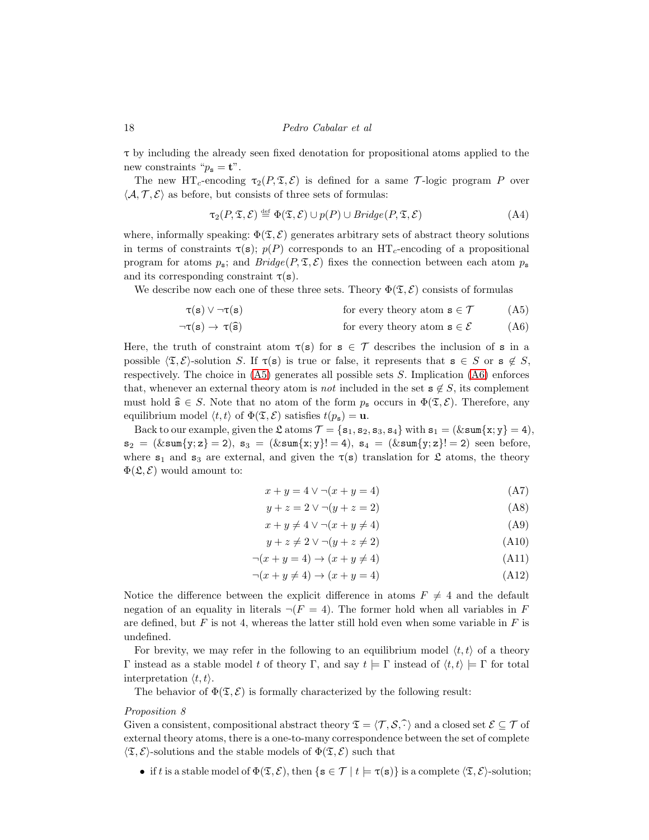τ by including the already seen fixed denotation for propositional atoms applied to the new constraints " $p_{\rm s} = t$ ".

The new HT<sub>c</sub>-encoding  $\tau_2(P, \mathfrak{T}, \mathcal{E})$  is defined for a same T-logic program P over  $\langle A, \mathcal{T}, \mathcal{E} \rangle$  as before, but consists of three sets of formulas:

<span id="page-17-2"></span>
$$
\tau_2(P, \mathfrak{T}, \mathcal{E}) \stackrel{\text{def}}{=} \Phi(\mathfrak{T}, \mathcal{E}) \cup p(P) \cup Bridge(P, \mathfrak{T}, \mathcal{E})
$$
\n(A4)

where, informally speaking:  $\Phi(\mathfrak{T}, \mathcal{E})$  generates arbitrary sets of abstract theory solutions in terms of constraints  $\tau(s)$ ;  $p(P)$  corresponds to an HT<sub>c</sub>-encoding of a propositional program for atoms  $p_s$ ; and  $Bridge(P, \mathcal{F}, \mathcal{E})$  fixes the connection between each atom  $p_s$ and its corresponding constraint  $\tau(s)$ .

We describe now each one of these three sets. Theory  $\Phi(\mathfrak{T}, \mathcal{E})$  consists of formulas

$$
\tau(s) \lor \neg \tau(s) \qquad \text{for every theory atom } s \in \mathcal{T} \qquad (A5)
$$

$$
\neg \tau(s) \to \tau(\hat{s}) \qquad \text{for every theory atom } s \in \mathcal{E} \qquad (A6)
$$

Here, the truth of constraint atom  $\tau(s)$  for  $s \in \mathcal{T}$  describes the inclusion of s in a possible  $\langle \mathfrak{T}, \mathcal{E} \rangle$ -solution S. If  $\tau(\mathbf{s})$  is true or false, it represents that  $\mathbf{s} \in S$  or  $\mathbf{s} \notin S$ , respectively. The choice in  $(A5)$  generates all possible sets S. Implication  $(A6)$  enforces that, whenever an external theory atom is *not* included in the set  $s \notin S$ , its complement must hold  $\hat{\mathbf{s}} \in S$ . Note that no atom of the form  $p_{\mathbf{s}}$  occurs in  $\Phi(\mathfrak{T}, \mathcal{E})$ . Therefore, any equilibrium model  $\langle t, t \rangle$  of  $\Phi(\mathfrak{T}, \mathcal{E})$  satisfies  $t(p_{s}) = u$ .

Back to our example, given the  $\mathfrak{L}$  atoms  $\mathcal{T} = \{\mathbf{s}_1, \mathbf{s}_2, \mathbf{s}_3, \mathbf{s}_4\}$  with  $\mathbf{s}_1 = (\& \text{sum}\{\mathbf{x}; \mathbf{y}\} = 4),$  $s_2 = (\& \text{sum}\{y; z\} = 2), s_3 = (\& \text{sum}\{x; y\} = 4), s_4 = (\& \text{sum}\{y; z\} = 2)$  seen before, where  $s_1$  and  $s_3$  are external, and given the  $\tau(s)$  translation for  $\mathfrak L$  atoms, the theory  $\Phi(\mathfrak{L}, \mathcal{E})$  would amount to:

<span id="page-17-3"></span><span id="page-17-1"></span><span id="page-17-0"></span>
$$
x + y = 4 \lor \neg(x + y = 4) \tag{A7}
$$

$$
y + z = 2 \vee \neg(y + z = 2) \tag{A8}
$$

$$
x + y \neq 4 \lor \neg(x + y \neq 4)
$$
(A9)

$$
y + z \neq 2 \lor \neg(y + z \neq 2) \tag{A10}
$$

$$
\neg(x+y=4) \to (x+y \neq 4) \tag{A11}
$$

<span id="page-17-4"></span>
$$
\neg(x+y\neq 4) \to (x+y=4) \tag{A12}
$$

Notice the difference between the explicit difference in atoms  $F \neq 4$  and the default negation of an equality in literals  $\neg (F = 4)$ . The former hold when all variables in F are defined, but  $F$  is not 4, whereas the latter still hold even when some variable in  $F$  is undefined.

For brevity, we may refer in the following to an equilibrium model  $\langle t, t \rangle$  of a theory Γ instead as a stable model t of theory Γ, and say  $t \models \Gamma$  instead of  $\langle t, t \rangle \models \Gamma$  for total interpretation  $\langle t, t \rangle$ .

The behavior of  $\Phi(\mathfrak{T}, \mathcal{E})$  is formally characterized by the following result:

#### Proposition 8

Given a consistent, compositional abstract theory  $\mathfrak{T} = \langle \mathcal{T}, \mathcal{S}, \hat{\cdot} \rangle$  and a closed set  $\mathcal{E} \subseteq \mathcal{T}$  of external theory atoms, there is a one-to-many correspondence between the set of complete  $\langle \mathfrak{T}, \mathcal{E} \rangle$ -solutions and the stable models of  $\Phi(\mathfrak{T}, \mathcal{E})$  such that

• if t is a stable model of  $\Phi(\mathfrak{T}, \mathcal{E})$ , then  $\{s \in \mathcal{T} \mid t \models \tau(s)\}$  is a complete  $\langle \mathfrak{T}, \mathcal{E} \rangle$ -solution;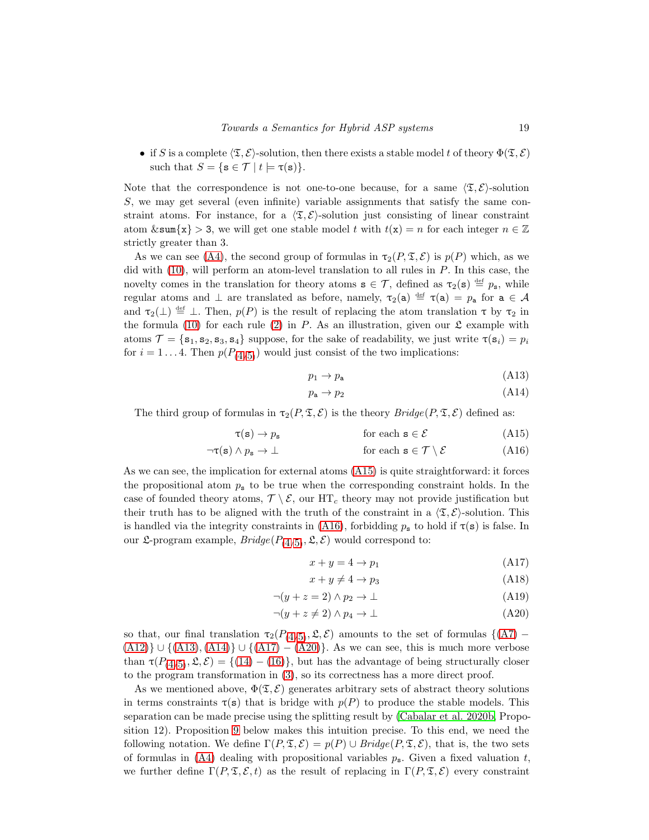• if S is a complete  $\langle \mathfrak{T}, \mathcal{E} \rangle$ -solution, then there exists a stable model t of theory  $\Phi(\mathfrak{T}, \mathcal{E})$ such that  $S = \{ \mathbf{s} \in \mathcal{T} \mid t \models \tau(\mathbf{s}) \}.$ 

Note that the correspondence is not one-to-one because, for a same  $\langle \mathfrak{T}, \mathcal{E} \rangle$ -solution S, we may get several (even infinite) variable assignments that satisfy the same constraint atoms. For instance, for a  $\langle \mathfrak{T}, \mathcal{E} \rangle$ -solution just consisting of linear constraint atom  $\&\text{sum}\{x\} > 3$ , we will get one stable model t with  $t(x) = n$  for each integer  $n \in \mathbb{Z}$ strictly greater than 3.

As we can see [\(A4\)](#page-17-2), the second group of formulas in  $\tau_2(P, \mathfrak{T}, \mathcal{E})$  is  $p(P)$  which, as we did with  $(10)$ , will perform an atom-level translation to all rules in P. In this case, the novelty comes in the translation for theory atoms  $s \in \mathcal{T}$ , defined as  $\tau_2(s) \stackrel{\text{def}}{=} p_s$ , while regular atoms and  $\perp$  are translated as before, namely,  $\tau_2(a) \stackrel{\text{def}}{=} \tau(a) = p_a$  for  $a \in \mathcal{A}$ and  $\tau_2(\perp) \stackrel{\text{def}}{=} \perp$ . Then,  $p(P)$  is the result of replacing the atom translation  $\tau$  by  $\tau_2$  in the formula [\(10\)](#page-9-0) for each rule [\(2\)](#page-1-0) in P. As an illustration, given our  $\mathfrak L$  example with atoms  $\mathcal{T} = \{s_1, s_2, s_3, s_4\}$  suppose, for the sake of readability, we just write  $\tau(s_i) = p_i$ for  $i = 1...4$  $i = 1...4$ . Then  $p(P_{(4/5)})$  $p(P_{(4/5)})$  $p(P_{(4/5)})$  would just consist of the two implications:

<span id="page-18-2"></span>
$$
p_1 \to p_a \tag{A13}
$$

<span id="page-18-3"></span><span id="page-18-1"></span><span id="page-18-0"></span>
$$
p_a \to p_2 \tag{A14}
$$

The third group of formulas in  $\tau_2(P, \mathfrak{T}, \mathcal{E})$  is the theory  $Bridge(P, \mathfrak{T}, \mathcal{E})$  defined as:

$$
\tau(\mathbf{s}) \to p_{\mathbf{s}} \qquad \qquad \text{for each } \mathbf{s} \in \mathcal{E} \tag{A15}
$$

$$
\neg \tau(s) \land p_s \to \bot \qquad \text{for each } s \in \mathcal{T} \setminus \mathcal{E} \tag{A16}
$$

As we can see, the implication for external atoms [\(A15\)](#page-18-0) is quite straightforward: it forces the propositional atom  $p_s$  to be true when the corresponding constraint holds. In the case of founded theory atoms,  $\mathcal{T} \setminus \mathcal{E}$ , our HT<sub>c</sub> theory may not provide justification but their truth has to be aligned with the truth of the constraint in a  $\langle \mathfrak{T}, \mathcal{E} \rangle$ -solution. This is handled via the integrity constraints in [\(A16\)](#page-18-1), forbidding  $p_s$  to hold if  $\tau(s)$  is false. In our  $\mathfrak{L}$ -program example,  $\mathit{Bridge}(P_{(4/5)}, \mathfrak{L}, \mathcal{E})$  $\mathit{Bridge}(P_{(4/5)}, \mathfrak{L}, \mathcal{E})$  $\mathit{Bridge}(P_{(4/5)}, \mathfrak{L}, \mathcal{E})$  $\mathit{Bridge}(P_{(4/5)}, \mathfrak{L}, \mathcal{E})$  $\mathit{Bridge}(P_{(4/5)}, \mathfrak{L}, \mathcal{E})$  would correspond to:

<span id="page-18-5"></span><span id="page-18-4"></span>
$$
x + y = 4 \to p_1 \tag{A17}
$$

$$
x + y \neq 4 \to p_3 \tag{A18}
$$

$$
\neg(y+z=2) \land p_2 \to \bot \tag{A19}
$$

$$
\neg(y+z\neq 2) \land p_4 \to \bot \tag{A20}
$$

so that, our final translation  $\tau_2(P_{(4/5)}, \mathfrak{L}, \mathcal{E})$  $\tau_2(P_{(4/5)}, \mathfrak{L}, \mathcal{E})$  $\tau_2(P_{(4/5)}, \mathfrak{L}, \mathcal{E})$  $\tau_2(P_{(4/5)}, \mathfrak{L}, \mathcal{E})$  $\tau_2(P_{(4/5)}, \mathfrak{L}, \mathcal{E})$  amounts to the set of formulas  $\{(A7)$  $\{(A7)$  –  $(A12)$  ∪ { $(A13)$ ,  $(A14)$ } ∪ { $(A17) - (A20)$  $(A17) - (A20)$  $(A17) - (A20)$ }. As we can see, this is much more verbose than  $\tau(P_{(4/5)}, \mathfrak{L}, \mathcal{E}) = \{(14) - (16)\}\,$  $\tau(P_{(4/5)}, \mathfrak{L}, \mathcal{E}) = \{(14) - (16)\}\,$  $\tau(P_{(4/5)}, \mathfrak{L}, \mathcal{E}) = \{(14) - (16)\}\,$  $\tau(P_{(4/5)}, \mathfrak{L}, \mathcal{E}) = \{(14) - (16)\}\,$  $\tau(P_{(4/5)}, \mathfrak{L}, \mathcal{E}) = \{(14) - (16)\}\,$  $\tau(P_{(4/5)}, \mathfrak{L}, \mathcal{E}) = \{(14) - (16)\}\,$  $\tau(P_{(4/5)}, \mathfrak{L}, \mathcal{E}) = \{(14) - (16)\}\,$  $\tau(P_{(4/5)}, \mathfrak{L}, \mathcal{E}) = \{(14) - (16)\}\,$  $\tau(P_{(4/5)}, \mathfrak{L}, \mathcal{E}) = \{(14) - (16)\}\,$ , but has the advantage of being structurally closer to the program transformation in [\(3\)](#page-2-2), so its correctness has a more direct proof.

As we mentioned above,  $\Phi(\mathfrak{T}, \mathcal{E})$  generates arbitrary sets of abstract theory solutions in terms constraints  $\tau(s)$  that is bridge with  $p(P)$  to produce the stable models. This separation can be made precise using the splitting result by (Cabalar [et al. 2020b,](#page-28-0) Proposition 12). Proposition [9](#page-19-0) below makes this intuition precise. To this end, we need the following notation. We define  $\Gamma(P, \mathfrak{T}, \mathcal{E}) = p(P) \cup Bridge(P, \mathfrak{T}, \mathcal{E})$ , that is, the two sets of formulas in [\(A4\)](#page-17-2) dealing with propositional variables  $p_s$ . Given a fixed valuation t, we further define  $\Gamma(P, \mathfrak{T}, \mathcal{E}, t)$  as the result of replacing in  $\Gamma(P, \mathfrak{T}, \mathcal{E})$  every constraint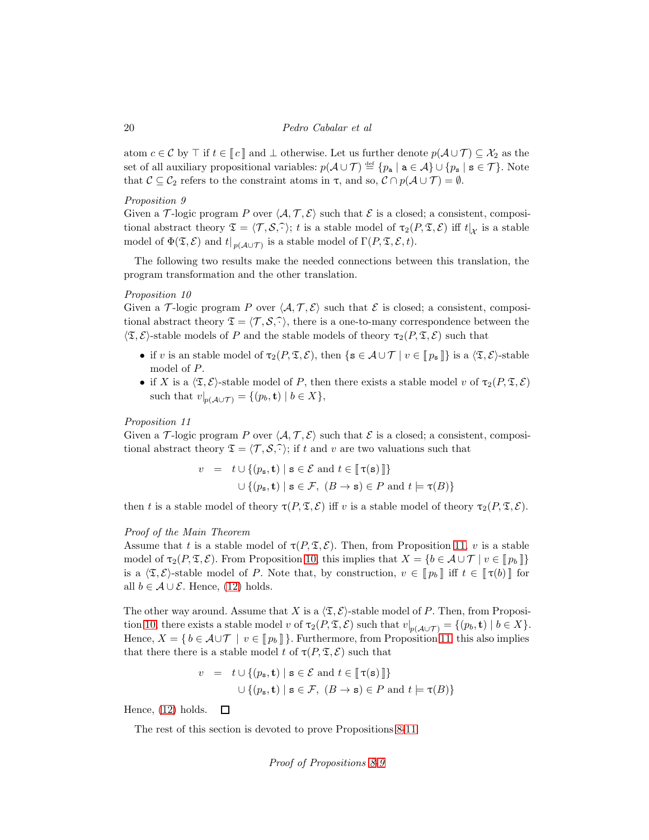atom  $c \in \mathcal{C}$  by  $\top$  if  $t \in \llbracket c \rrbracket$  and  $\bot$  otherwise. Let us further denote  $p(\mathcal{A} \cup \mathcal{T}) \subseteq \mathcal{X}_2$  as the set of all auxiliary propositional variables:  $p(A \cup \mathcal{T}) \stackrel{\text{def}}{=} \{p_a \mid a \in \mathcal{A}\} \cup \{p_s \mid s \in \mathcal{T}\}\.$  Note that  $C \subseteq C_2$  refers to the constraint atoms in  $\tau$ , and so,  $C \cap p(A \cup T) = \emptyset$ .

#### <span id="page-19-0"></span>Proposition 9

Given a T-logic program P over  $\langle A, T, E \rangle$  such that E is a closed; a consistent, compositional abstract theory  $\mathfrak{T} = \langle \mathcal{T}, \mathcal{S}, \widehat{\cdot} \rangle$ ; t is a stable model of  $\tau_2(P, \mathfrak{T}, \mathcal{E})$  iff  $t|_{\mathcal{X}}$  is a stable model of  $\Phi(\mathfrak{T}, \mathcal{E})$  and  $t|_{p(\mathcal{A} \cup \mathcal{T})}$  is a stable model of  $\Gamma(P, \mathfrak{T}, \mathcal{E}, t)$ .

<span id="page-19-2"></span>The following two results make the needed connections between this translation, the program transformation and the other translation.

#### Proposition 10

Given a T-logic program P over  $\langle A, T, E \rangle$  such that E is closed; a consistent, compositional abstract theory  $\mathfrak{T} = \langle \mathcal{T}, \mathcal{S}, \hat{\cdot} \rangle$ , there is a one-to-many correspondence between the  $\langle \mathfrak{T}, \mathcal{E} \rangle$ -stable models of P and the stable models of theory  $\tau_2(P, \mathfrak{T}, \mathcal{E})$  such that

- if v is an stable model of  $\tau_2(P, \mathfrak{T}, \mathcal{E})$ , then  $\{s \in \mathcal{A} \cup \mathcal{T} \mid v \in [\![p_s]\!] \}$  is a  $\langle \mathfrak{T}, \mathcal{E} \rangle$ -stable model of P.
- if X is a  $\langle \mathfrak{T}, \mathcal{E} \rangle$ -stable model of P, then there exists a stable model v of  $\tau_2(P, \mathfrak{T}, \mathcal{E})$ such that  $v|_{p(\mathcal{A}\cup\mathcal{T})} = \{(p_b, \mathbf{t}) \mid b \in X\},\$

#### <span id="page-19-1"></span>Proposition 11

Given a T-logic program P over  $\langle A, T, E \rangle$  such that E is a closed; a consistent, compositional abstract theory  $\mathfrak{T} = \langle \mathcal{T}, \mathcal{S}, \hat{\cdot} \rangle$ ; if t and v are two valuations such that

$$
v = t \cup \{ (p_{\mathbf{s}}, \mathbf{t}) \mid \mathbf{s} \in \mathcal{E} \text{ and } t \in [\![\tau(\mathbf{s})]\!] \}
$$
  

$$
\cup \{ (p_{\mathbf{s}}, \mathbf{t}) \mid \mathbf{s} \in \mathcal{F}, (B \to \mathbf{s}) \in P \text{ and } t \models \tau(B) \}
$$

then t is a stable model of theory  $\tau(P, \mathfrak{T}, \mathcal{E})$  iff v is a stable model of theory  $\tau_2(P, \mathfrak{T}, \mathcal{E})$ .

# Proof of the Main Theorem

Assume that t is a stable model of  $\tau(P, \mathfrak{T}, \mathcal{E})$ . Then, from Proposition [11,](#page-19-1) v is a stable model of  $\tau_2(P, \mathfrak{T}, \mathcal{E})$ . From Proposition [10,](#page-19-2) this implies that  $X = \{b \in \mathcal{A} \cup \mathcal{T} \mid v \in \llbracket p_b \rrbracket \}$ is a  $\langle \mathfrak{T}, \mathcal{E} \rangle$ -stable model of P. Note that, by construction,  $v \in \llbracket p_b \rrbracket$  iff  $t \in \llbracket \tau(b) \rrbracket$  for all  $b \in \mathcal{A} \cup \mathcal{E}$ . Hence, [\(12\)](#page-9-7) holds.

The other way around. Assume that X is a  $\langle \mathfrak{T}, \mathcal{E} \rangle$ -stable model of P. Then, from Proposi-tion [10,](#page-19-2) there exists a stable model v of  $\tau_2(P, \mathfrak{T}, \mathcal{E})$  such that  $v|_{p(\mathcal{A} \cup \mathcal{T})} = \{(p_b, \mathbf{t}) \mid b \in X\}.$ Hence,  $X = \{ b \in \mathcal{A} \cup \mathcal{T} \mid v \in \llbracket p_b \rrbracket \}.$  Furthermore, from Proposition [11,](#page-19-1) this also implies that there there is a stable model t of  $\tau(P, \mathfrak{T}, \mathcal{E})$  such that

$$
v = t \cup \{ (p_s, \mathbf{t}) \mid \mathbf{s} \in \mathcal{E} \text{ and } t \in [\![\tau(\mathbf{s})]\!] \}
$$
  

$$
\cup \{ (p_s, \mathbf{t}) \mid \mathbf{s} \in \mathcal{F}, (B \to \mathbf{s}) \in P \text{ and } t \models \tau(B) \}
$$

Hence, [\(12\)](#page-9-7) holds.  $\Box$ 

The rest of this section is devoted to prove Propositions [8](#page-17-4)[-11.](#page-19-1)

Proof of Propositions [8](#page-17-4)[-9](#page-19-0)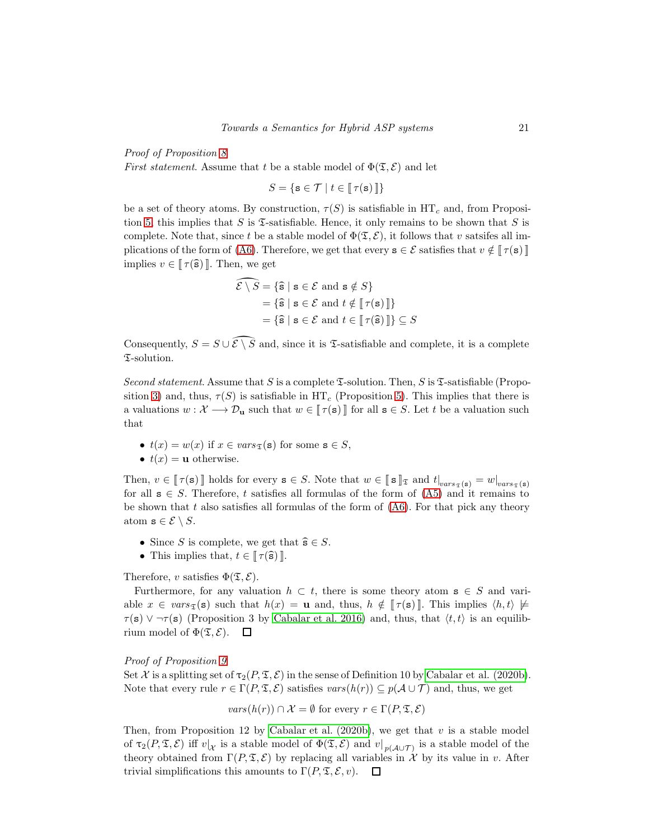Proof of Proposition [8](#page-17-4)

*First statement.* Assume that t be a stable model of  $\Phi(\mathfrak{T}, \mathcal{E})$  and let

 $S = \{ \mathbf{s} \in \mathcal{T} \mid t \in \llbracket \tau(\mathbf{s}) \rrbracket \}$ 

be a set of theory atoms. By construction,  $\tau(S)$  is satisfiable in HT<sub>c</sub> and, from Proposi-tion [5,](#page-8-0) this implies that S is  $\mathfrak T$ -satisfiable. Hence, it only remains to be shown that S is complete. Note that, since t be a stable model of  $\Phi(\mathfrak{T}, \mathcal{E})$ , it follows that v satsifes all im-plications of the form of [\(A6\)](#page-17-1). Therefore, we get that every  $s \in \mathcal{E}$  satisfies that  $v \notin [\![\tau(s)]\!]$ implies  $v \in \llbracket \tau(\widehat{s}) \rrbracket$ . Then, we get

$$
\widehat{\mathcal{E} \setminus S} = \{\widehat{\mathbf{s}} \mid \mathbf{s} \in \mathcal{E} \text{ and } \mathbf{s} \notin S\}
$$

$$
= \{\widehat{\mathbf{s}} \mid \mathbf{s} \in \mathcal{E} \text{ and } t \notin [\![\tau(\mathbf{s})]\!] \}
$$

$$
= \{\widehat{\mathbf{s}} \mid \mathbf{s} \in \mathcal{E} \text{ and } t \in [\![\tau(\widehat{\mathbf{s}})\!] \} \subseteq S
$$

Consequently,  $S = S \cup \widehat{\mathcal{E} \setminus S}$  and, since it is  $\mathfrak{I}$ -satisfiable and complete, it is a complete T-solution.

Second statement. Assume that S is a complete  $\mathfrak T$ -solution. Then, S is  $\mathfrak T$ -satisfiable (Propo-sition [3\)](#page-7-0) and, thus,  $\tau(S)$  is satisfiable in HT<sub>c</sub> (Proposition [5\)](#page-8-0). This implies that there is a valuations  $w : \mathcal{X} \longrightarrow \mathcal{D}_{\mathbf{u}}$  such that  $w \in \llbracket \tau(\mathbf{s}) \rrbracket$  for all  $\mathbf{s} \in S$ . Let t be a valuation such that

- $t(x) = w(x)$  if  $x \in vars_{\tau}(s)$  for some  $s \in S$ ,
- $t(x) = u$  otherwise.

Then,  $v \in [\![\tau(\mathbf{s})]\!]$  holds for every  $\mathbf{s} \in S$ . Note that  $w \in [\![\mathbf{s}]\!]_{\mathfrak{T}}$  and  $t|_{vars_{\mathfrak{T}}(\mathbf{s})} = w|_{vars_{\mathfrak{T}}(\mathbf{s})}$ for all  $s \in S$ . Therefore, t satisfies all formulas of the form of [\(A5\)](#page-17-0) and it remains to be shown that  $t$  also satisfies all formulas of the form of  $(A6)$ . For that pick any theory atom  $\mathbf{s} \in \mathcal{E} \setminus S$ .

- Since S is complete, we get that  $\widehat{\mathbf{s}} \in S$ .
- This implies that,  $t \in \llbracket \tau(\widehat{s}) \rrbracket$ .

Therefore, v satisfies  $\Phi(\mathfrak{T}, \mathcal{E})$ .

Furthermore, for any valuation  $h \subset t$ , there is some theory atom  $s \in S$  and variable  $x \in vars_{\mathfrak{T}}(\mathbf{s})$  such that  $h(x) = \mathbf{u}$  and, thus,  $h \notin [\![\tau(\mathbf{s})]\!]$ . This implies  $\langle h, t \rangle \not\models$  $\tau(s)$   $\vee$   $\neg$  $\tau(s)$  (Proposition 3 by [Cabalar et al. 2016\)](#page-13-4) and, thus, that  $\langle t, t \rangle$  is an equilibrium model of  $\Phi(\mathfrak{T}, \mathcal{E})$ .  $\Box$ 

#### Proof of Proposition [9](#page-19-0)

Set X is a splitting set of  $\tau_2(P, \mathfrak{T}, \mathcal{E})$  in the sense of Definition 10 by [Cabalar et al. \(2020b\)](#page-28-0). Note that every rule  $r \in \Gamma(P, \mathfrak{T}, \mathcal{E})$  satisfies  $vars(h(r)) \subseteq p(\mathcal{A} \cup \mathcal{T})$  and, thus, we get

$$
vars(h(r)) \cap \mathcal{X} = \emptyset
$$
 for every  $r \in \Gamma(P, \mathfrak{T}, \mathcal{E})$ 

Then, from Proposition 12 by [Cabalar et al. \(2020b\)](#page-28-0), we get that  $v$  is a stable model of  $\tau_2(P, \mathfrak{T}, \mathcal{E})$  iff  $v|_{\mathcal{X}}$  is a stable model of  $\Phi(\mathfrak{T}, \mathcal{E})$  and  $v|_{p(\mathcal{A} \cup \mathcal{T})}$  is a stable model of the theory obtained from  $\Gamma(P, \mathfrak{T}, \mathcal{E})$  by replacing all variables in X by its value in v. After trivial simplifications this amounts to  $\Gamma(P, \mathfrak{T}, \mathcal{E}, v)$ .  $\Box$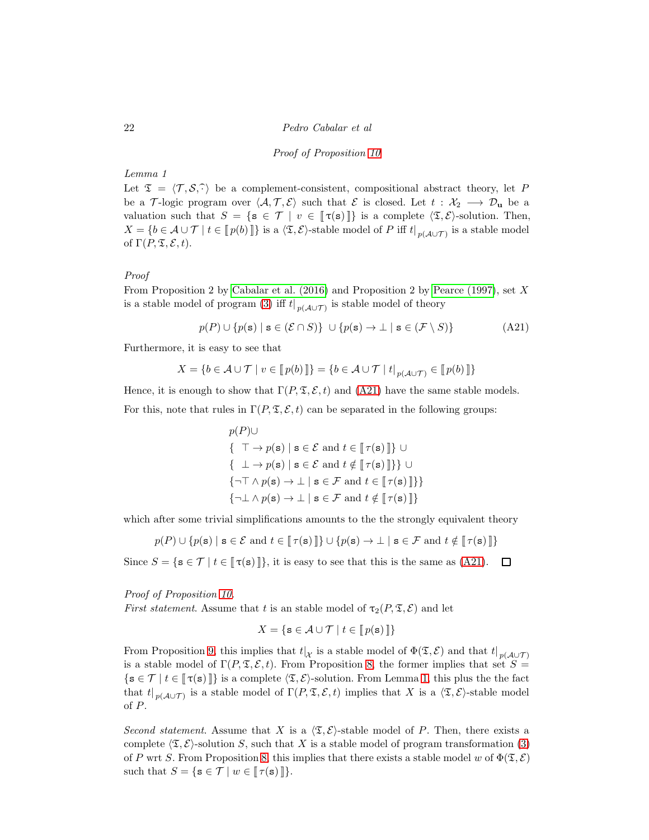#### <span id="page-21-0"></span>Proof of Proposition [10](#page-19-2)

# <span id="page-21-1"></span>Lemma 1

Let  $\mathfrak{T} = \langle \mathcal{T}, \mathcal{S}, \hat{\cdot} \rangle$  be a complement-consistent, compositional abstract theory, let P be a T-logic program over  $\langle A, \mathcal{T}, \mathcal{E} \rangle$  such that E is closed. Let  $t : \mathcal{X}_2 \longrightarrow \mathcal{D}_{\mathbf{u}}$  be a valuation such that  $S = \{s \in \mathcal{T} \mid v \in [\![\tau(s)]\!] \}$  is a complete  $\langle \mathfrak{T}, \mathcal{E} \rangle$ -solution. Then,  $X = \{b \in \mathcal{A} \cup \mathcal{T} \mid t \in [\![p(b)]\!] \}$  is a  $\langle \mathfrak{T}, \mathcal{E} \rangle$ -stable model of P iff  $t|_{p(\mathcal{A} \cup \mathcal{T})}$  is a stable model of  $\Gamma(P, \mathfrak{T}, \mathcal{E}, t)$ .

# Proof

From Proposition 2 by [Cabalar et al. \(2016\)](#page-13-4) and Proposition 2 by [Pearce \(1997\)](#page-14-4), set X is a stable model of program [\(3\)](#page-2-2) iff  $t|_{p(\mathcal{A} \cup \mathcal{T})}$  is stable model of theory

$$
p(P) \cup \{p(\mathbf{s}) \mid \mathbf{s} \in (\mathcal{E} \cap S)\} \cup \{p(\mathbf{s}) \to \bot \mid \mathbf{s} \in (\mathcal{F} \setminus S)\}\
$$
(A21)

Furthermore, it is easy to see that

$$
X = \{ b \in \mathcal{A} \cup \mathcal{T} \mid v \in [\![p(b)]\!] \} = \{ b \in \mathcal{A} \cup \mathcal{T} \mid t \mid_{p(\mathcal{A} \cup \mathcal{T})} \in [\![p(b)]\!] \}
$$

Hence, it is enough to show that  $\Gamma(P, \mathfrak{T}, \mathcal{E}, t)$  and [\(A21\)](#page-21-0) have the same stable models. For this, note that rules in  $\Gamma(P, \mathfrak{T}, \mathcal{E}, t)$  can be separated in the following groups:

> $p(P)$ ∪  $\{\top \to p(\mathbf{s}) \mid \mathbf{s} \in \mathcal{E} \text{ and } t \in \llbracket \tau(\mathbf{s}) \rrbracket \} \cup$  $\{ \perp \rightarrow p(\mathbf{s}) \mid \mathbf{s} \in \mathcal{E} \text{ and } t \notin \llbracket \tau(\mathbf{s}) \rrbracket \} \} \cup$  $\{\neg \top \wedge p(\mathbf{s}) \rightarrow \bot \mid \mathbf{s} \in \mathcal{F} \text{ and } t \in \llbracket \tau(\mathbf{s}) \rrbracket \} \}$  $\{\neg \bot \land p(\mathbf{s}) \to \bot \mid \mathbf{s} \in \mathcal{F} \text{ and } t \notin \llbracket \tau(\mathbf{s}) \rrbracket\}$

which after some trivial simplifications amounts to the the strongly equivalent theory

 $p(P) \cup \{p(\mathbf{s}) \mid \mathbf{s} \in \mathcal{E} \text{ and } t \in \llbracket \tau(\mathbf{s}) \rrbracket\} \cup \{p(\mathbf{s}) \to \llbracket \mathbf{s} \in \mathcal{F} \text{ and } t \notin \llbracket \tau(\mathbf{s}) \rrbracket\}$ 

Since  $S = \{ \mathbf{s} \in \mathcal{T} \mid t \in \llbracket \tau(\mathbf{s}) \rrbracket \},\$ it is easy to see that this is the same as [\(A21\)](#page-21-0).  $\Box$ 

Proof of Proposition [10.](#page-19-2)

*First statement.* Assume that t is an stable model of  $\tau_2(P, \mathfrak{T}, \mathcal{E})$  and let

$$
X = \{ \mathbf{s} \in \mathcal{A} \cup \mathcal{T} \mid t \in [\![p(\mathbf{s})]\!] \}
$$

From Proposition [9,](#page-19-0) this implies that  $t|_{\mathcal{X}}$  is a stable model of  $\Phi(\mathfrak{T},\mathcal{E})$  and that  $t|_{p(\mathcal{A}\cup\mathcal{T})}$ is a stable model of  $\Gamma(P, \mathfrak{T}, \mathcal{E}, t)$ . From Proposition [8,](#page-17-4) the former implies that set  $S =$  $\{s \in \mathcal{T} \mid t \in \llbracket \tau(s) \rrbracket \}$  is a complete  $\langle \mathfrak{T}, \mathcal{E} \rangle$ -solution. From Lemma [1,](#page-21-1) this plus the the fact that  $t|_{p(\mathcal{A}\cup\mathcal{T})}$  is a stable model of  $\Gamma(P,\mathfrak{T},\mathcal{E},t)$  implies that X is a  $\langle \mathfrak{T},\mathcal{E} \rangle$ -stable model of P.

Second statement. Assume that X is a  $\langle \mathfrak{T}, \mathcal{E} \rangle$ -stable model of P. Then, there exists a complete  $\langle \mathfrak{T}, \mathcal{E} \rangle$ -solution S, such that X is a stable model of program transformation [\(3\)](#page-2-2) of P wrt S. From Proposition [8,](#page-17-4) this implies that there exists a stable model w of  $\Phi(\mathfrak{T}, \mathcal{E})$ such that  $S = \{ \mathbf{s} \in \mathcal{T} \mid w \in \mathcal{T}(\mathbf{s}) \}.$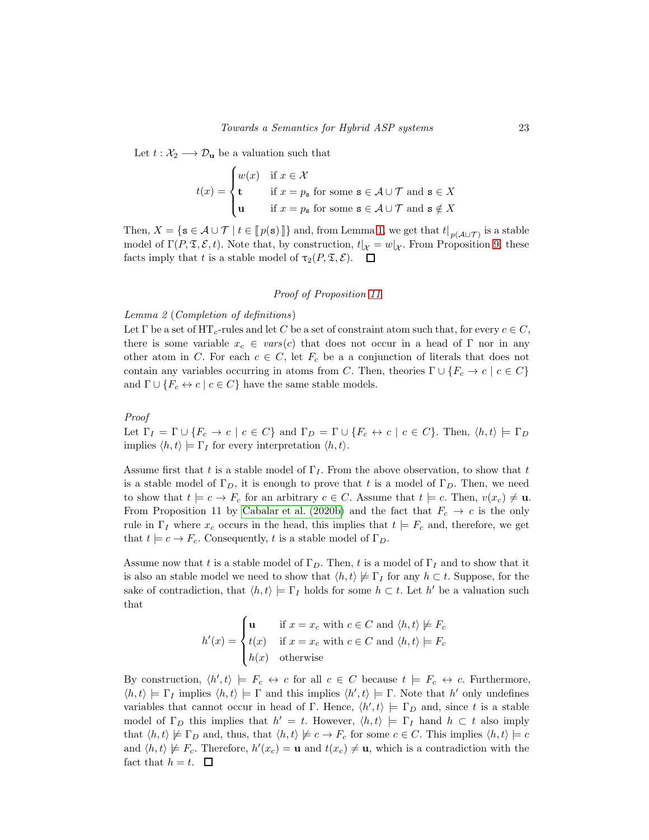Let  $t : \mathcal{X}_2 \longrightarrow \mathcal{D}_{\mathbf{u}}$  be a valuation such that

$$
t(x) = \begin{cases} w(x) & \text{if } x \in \mathcal{X} \\ \mathbf{t} & \text{if } x = p_{\mathbf{s}} \text{ for some } \mathbf{s} \in \mathcal{A} \cup \mathcal{T} \text{ and } \mathbf{s} \in X \\ \mathbf{u} & \text{if } x = p_{\mathbf{s}} \text{ for some } \mathbf{s} \in \mathcal{A} \cup \mathcal{T} \text{ and } \mathbf{s} \notin X \end{cases}
$$

Then,  $X = \{ \mathbf{s} \in \mathcal{A} \cup \mathcal{T} \mid t \in \llbracket p(\mathbf{s}) \rrbracket \}$  and, from Lemma [1,](#page-21-1) we get that  $t|_{p(\mathcal{A} \cup \mathcal{T})}$  is a stable model of  $\Gamma(P, \mathfrak{T}, \mathcal{E}, t)$ . Note that, by construction,  $t|_{\mathcal{X}} = w|_{\mathcal{X}}$ . From Proposition [9,](#page-19-0) these facts imply that t is a stable model of  $\tau_2(P, \mathfrak{T}, \mathcal{E})$ .  $\Box$ 

#### Proof of Proposition [11](#page-19-1)

#### <span id="page-22-0"></span>Lemma 2 (Completion of definitions)

Let  $\Gamma$  be a set of HT<sub>c</sub>-rules and let C be a set of constraint atom such that, for every  $c \in C$ , there is some variable  $x_c \in vars(c)$  that does not occur in a head of  $\Gamma$  nor in any other atom in C. For each  $c \in C$ , let  $F_c$  be a a conjunction of literals that does not contain any variables occurring in atoms from C. Then, theories  $\Gamma \cup \{F_c \to c \mid c \in C\}$ and  $\Gamma \cup \{F_c \leftrightarrow c \mid c \in C\}$  have the same stable models.

# Proof

Let  $\Gamma_I = \Gamma \cup \{F_c \to c \mid c \in C\}$  and  $\Gamma_D = \Gamma \cup \{F_c \leftrightarrow c \mid c \in C\}$ . Then,  $\langle h, t \rangle \models \Gamma_D$ implies  $\langle h, t \rangle \models \Gamma_I$  for every interpretation  $\langle h, t \rangle$ .

Assume first that t is a stable model of  $\Gamma_I$ . From the above observation, to show that t is a stable model of  $\Gamma_D$ , it is enough to prove that t is a model of  $\Gamma_D$ . Then, we need to show that  $t \models c \rightarrow F_c$  for an arbitrary  $c \in C$ . Assume that  $t \models c$ . Then,  $v(x_c) \neq \mathbf{u}$ . From Proposition 11 by [Cabalar et al. \(2020b\)](#page-28-0) and the fact that  $F_c \rightarrow c$  is the only rule in  $\Gamma_I$  where  $x_c$  occurs in the head, this implies that  $t \models F_c$  and, therefore, we get that  $t \models c \rightarrow F_c$ . Consequently, t is a stable model of  $\Gamma_D$ .

Assume now that t is a stable model of  $\Gamma_D$ . Then, t is a model of  $\Gamma_I$  and to show that it is also an stable model we need to show that  $\langle h, t \rangle \not\models \Gamma_I$  for any  $h \subset t$ . Suppose, for the sake of contradiction, that  $\langle h, t \rangle \models \Gamma_I$  holds for some  $h \subset t$ . Let  $h'$  be a valuation such that

$$
h'(x) = \begin{cases} \n\mathbf{u} & \text{if } x = x_c \text{ with } c \in C \text{ and } \langle h, t \rangle \not\models F_c \\ \nt(x) & \text{if } x = x_c \text{ with } c \in C \text{ and } \langle h, t \rangle \models F_c \\ \nh(x) & \text{otherwise} \n\end{cases}
$$

<span id="page-22-1"></span>By construction,  $\langle h', t \rangle \models F_c \leftrightarrow c$  for all  $c \in C$  because  $t \models F_c \leftrightarrow c$ . Furthermore,  $\langle h, t \rangle \models \Gamma_I$  implies  $\langle h, t \rangle \models \Gamma$  and this implies  $\langle h', t \rangle \models \Gamma$ . Note that h' only undefines variables that cannot occur in head of Γ. Hence,  $\langle h', t \rangle \models \Gamma_D$  and, since t is a stable model of  $\Gamma_D$  this implies that  $h' = t$ . However,  $\langle h, t \rangle \models \Gamma_I$  hand  $h \subset t$  also imply that  $\langle h, t \rangle \not\models \Gamma_D$  and, thus, that  $\langle h, t \rangle \not\models c \rightarrow F_c$  for some  $c \in C$ . This implies  $\langle h, t \rangle \models c$ and  $\langle h, t \rangle \not\models F_c$ . Therefore,  $h'(x_c) = \mathbf{u}$  and  $t(x_c) \neq \mathbf{u}$ , which is a contradiction with the fact that  $h = t$ .  $\Box$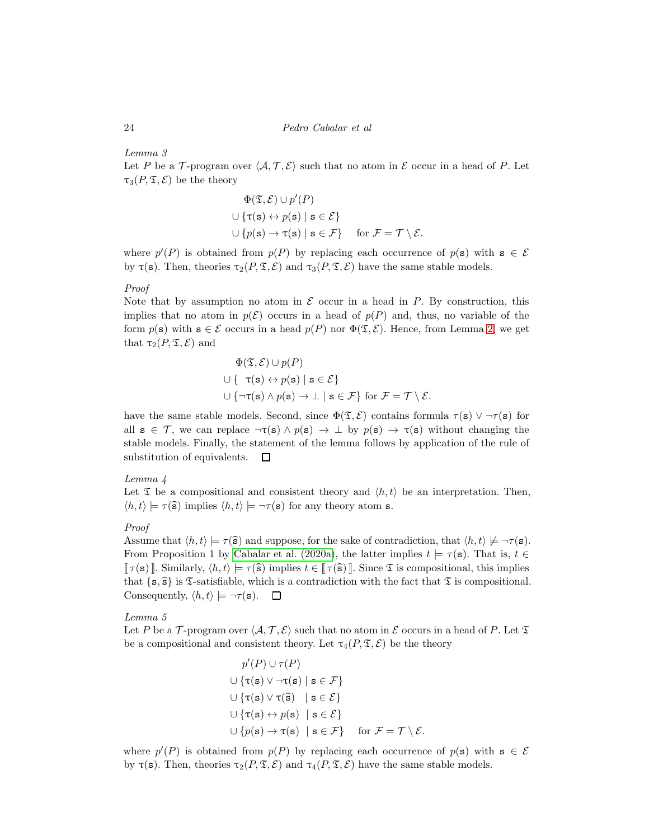Lemma 3

Let P be a T-program over  $\langle A, \mathcal{T}, \mathcal{E} \rangle$  such that no atom in E occur in a head of P. Let  $\tau_3(P, \mathfrak{T}, \mathcal{E})$  be the theory

$$
\Phi(\mathfrak{T}, \mathcal{E}) \cup p'(P)
$$
  

$$
\cup \{\tau(\mathbf{s}) \leftrightarrow p(\mathbf{s}) \mid \mathbf{s} \in \mathcal{E}\}
$$
  

$$
\cup \{p(\mathbf{s}) \rightarrow \tau(\mathbf{s}) \mid \mathbf{s} \in \mathcal{F}\} \quad \text{for } \mathcal{F} = \mathcal{T} \setminus \mathcal{E}.
$$

where  $p'(P)$  is obtained from  $p(P)$  by replacing each occurrence of  $p(\mathbf{s})$  with  $\mathbf{s} \in \mathcal{E}$ by  $\tau(s)$ . Then, theories  $\tau_2(P, \mathfrak{T}, \mathcal{E})$  and  $\tau_3(P, \mathfrak{T}, \mathcal{E})$  have the same stable models.

# Proof

Note that by assumption no atom in  $\mathcal E$  occur in a head in P. By construction, this implies that no atom in  $p(\mathcal{E})$  occurs in a head of  $p(P)$  and, thus, no variable of the form  $p(s)$  with  $s \in \mathcal{E}$  occurs in a head  $p(P)$  nor  $\Phi(\mathfrak{T}, \mathcal{E})$ . Hence, from Lemma [2,](#page-22-0) we get that  $\tau_2(P, \mathfrak{T}, \mathcal{E})$  and

$$
\Phi(\mathfrak{T}, \mathcal{E}) \cup p(P)
$$
  

$$
\cup \{ \tau(\mathbf{s}) \leftrightarrow p(\mathbf{s}) \mid \mathbf{s} \in \mathcal{E} \}
$$
  

$$
\cup \{ \neg \tau(\mathbf{s}) \land p(\mathbf{s}) \rightarrow \bot \mid \mathbf{s} \in \mathcal{F} \} \text{ for } \mathcal{F} = \mathcal{T} \setminus \mathcal{E}.
$$

have the same stable models. Second, since  $\Phi(\mathfrak{T},\mathcal{E})$  contains formula  $\tau(\mathbf{s}) \vee \neg \tau(\mathbf{s})$  for all  $s \in \mathcal{T}$ , we can replace  $\neg \tau(s) \wedge p(s) \rightarrow \bot$  by  $p(s) \rightarrow \tau(s)$  without changing the stable models. Finally, the statement of the lemma follows by application of the rule of substitution of equivalents.  $\Box$ 

# <span id="page-23-0"></span>Lemma 4

Let  $\mathfrak T$  be a compositional and consistent theory and  $\langle h, t \rangle$  be an interpretation. Then,  $\langle h, t \rangle \models \tau(\hat{\mathbf{s}})$  implies  $\langle h, t \rangle \models \neg \tau(\mathbf{s})$  for any theory atom s.

#### Proof

Assume that  $\langle h, t \rangle \models \tau(\hat{\mathbf{s}})$  and suppose, for the sake of contradiction, that  $\langle h, t \rangle \not\models \neg \tau(\mathbf{s})$ . From Proposition 1 by [Cabalar et al. \(2020a\)](#page-13-6), the latter implies  $t \models \tau(s)$ . That is,  $t \in$  $\lceil \tau(s) \rceil$ . Similarly,  $\langle h, t \rangle \models \tau(\widehat{s})$  implies  $t \in \lceil \tau(\widehat{s}) \rceil$ . Since  $\mathfrak T$  is compositional, this implies that  $\{s, \hat{s}\}\$ is T-satisfiable, which is a contradiction with the fact that T is compositional. Consequently,  $\langle h, t \rangle \models \neg \tau(s)$ .  $\Box$ 

# <span id="page-23-1"></span>Lemma 5

Let P be a T-program over  $\langle A, \mathcal{T}, \mathcal{E} \rangle$  such that no atom in E occurs in a head of P. Let  $\mathfrak{T}$ be a compositional and consistent theory. Let  $\tau_4(P, \mathfrak{T}, \mathcal{E})$  be the theory

 $\mathbf{v}$ 

$$
p'(P) \cup \tau(P)
$$
  
\n
$$
\cup \{\tau(\mathbf{s}) \vee \neg \tau(\mathbf{s}) \mid \mathbf{s} \in \mathcal{F}\}
$$
  
\n
$$
\cup \{\tau(\mathbf{s}) \vee \tau(\widehat{\mathbf{s}}) \mid \mathbf{s} \in \mathcal{E}\}
$$
  
\n
$$
\cup \{\tau(\mathbf{s}) \leftrightarrow p(\mathbf{s}) \mid \mathbf{s} \in \mathcal{E}\}
$$
  
\n
$$
\cup \{p(\mathbf{s}) \rightarrow \tau(\mathbf{s}) \mid \mathbf{s} \in \mathcal{F}\} \quad \text{for } \mathcal{F} = \mathcal{T} \setminus \mathcal{E}.
$$

where  $p'(P)$  is obtained from  $p(P)$  by replacing each occurrence of  $p(\mathbf{s})$  with  $\mathbf{s} \in \mathcal{E}$ by  $\tau(s)$ . Then, theories  $\tau_2(P, \mathfrak{T}, \mathcal{E})$  and  $\tau_4(P, \mathfrak{T}, \mathcal{E})$  have the same stable models.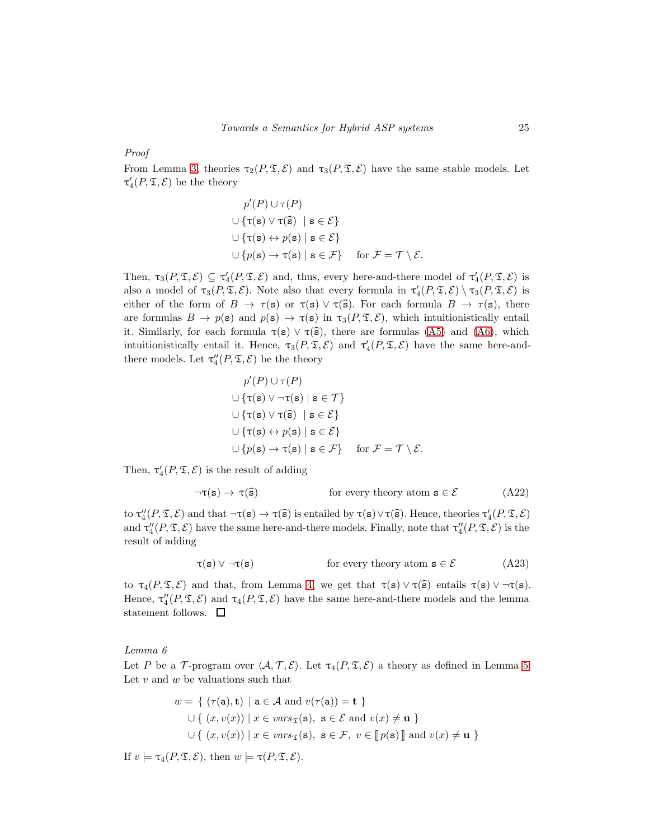Proof

From Lemma [3,](#page-22-1) theories  $\tau_2(P, \mathfrak{T}, \mathcal{E})$  and  $\tau_3(P, \mathfrak{T}, \mathcal{E})$  have the same stable models. Let  $\tau_4'(P, \mathfrak{T}, \mathcal{E})$  be the theory

$$
p'(P) \cup \tau(P)
$$
  

$$
\cup \{\tau(\mathbf{s}) \lor \tau(\widehat{\mathbf{s}}) \mid \mathbf{s} \in \mathcal{E}\}
$$
  

$$
\cup \{\tau(\mathbf{s}) \leftrightarrow p(\mathbf{s}) \mid \mathbf{s} \in \mathcal{E}\}
$$
  

$$
\cup \{p(\mathbf{s}) \rightarrow \tau(\mathbf{s}) \mid \mathbf{s} \in \mathcal{F}\} \quad \text{for } \mathcal{F} = \mathcal{T} \setminus \mathcal{E}.
$$

Then,  $\tau_3(P, \mathfrak{T}, \mathcal{E}) \subseteq \tau'_4(P, \mathfrak{T}, \mathcal{E})$  and, thus, every here-and-there model of  $\tau'_4(P, \mathfrak{T}, \mathcal{E})$  is also a model of  $\tau_3(P, \mathfrak{T}, \mathcal{E})$ . Note also that every formula in  $\tau_4'(P, \mathfrak{T}, \mathcal{E}) \setminus \tau_3(P, \mathfrak{T}, \mathcal{E})$  is either of the form of  $B \to \tau(s)$  or  $\tau(s) \vee \tau(\hat{s})$ . For each formula  $B \to \tau(s)$ , there are formulas  $B \to p(s)$  and  $p(s) \to \tau(s)$  in  $\tau_3(P, \mathfrak{T}, \mathcal{E})$ , which intuitionistically entail it. Similarly, for each formula  $\tau(s) \vee \tau(\hat{s})$ , there are formulas [\(A5\)](#page-17-0) and [\(A6\)](#page-17-1), which intuitionistically entail it. Hence,  $\tau_3(P, \mathfrak{T}, \mathcal{E})$  and  $\tau_4'(P, \mathfrak{T}, \mathcal{E})$  have the same here-andthere models. Let  $\tau''_4(P, \mathfrak{T}, \mathcal{E})$  be the theory

$$
p'(P) \cup \tau(P)
$$
  
\n
$$
\cup \{\tau(\mathbf{s}) \vee \neg \tau(\mathbf{s}) \mid \mathbf{s} \in \mathcal{T}\}
$$
  
\n
$$
\cup \{\tau(\mathbf{s}) \vee \tau(\widehat{\mathbf{s}}) \mid \mathbf{s} \in \mathcal{E}\}
$$
  
\n
$$
\cup \{\tau(\mathbf{s}) \leftrightarrow p(\mathbf{s}) \mid \mathbf{s} \in \mathcal{E}\}
$$
  
\n
$$
\cup \{p(\mathbf{s}) \rightarrow \tau(\mathbf{s}) \mid \mathbf{s} \in \mathcal{F}\} \quad \text{for } \mathcal{F} = \mathcal{T} \setminus \mathcal{E}.
$$

Then,  $\tau_4'(P, \mathfrak{T}, \mathcal{E})$  is the result of adding

$$
\neg \tau(s) \to \tau(\hat{s}) \qquad \text{for every theory atom } s \in \mathcal{E} \tag{A22}
$$

to  $\tau''_4(P, \mathfrak{T}, \mathcal{E})$  and that  $\neg \tau(\mathbf{s}) \rightarrow \tau(\mathbf{\hat{s}})$  is entailed by  $\tau(\mathbf{s}) \vee \tau(\mathbf{\hat{s}})$ . Hence, theories  $\tau'_4(P, \mathfrak{T}, \mathcal{E})$ and  $\tau''_4(P, \mathfrak{T}, \mathcal{E})$  have the same here-and-there models. Finally, note that  $\tau''_4(P, \mathfrak{T}, \mathcal{E})$  is the result of adding

$$
\tau(s) \lor \neg \tau(s) \qquad \text{for every theory atom } s \in \mathcal{E} \tag{A23}
$$

to  $\tau_4(P, \mathfrak{T}, \mathcal{E})$  and that, from Lemma [4,](#page-23-0) we get that  $\tau(s) \vee \tau(\hat{s})$  entails  $\tau(s) \vee \neg \tau(s)$ . Hence,  $\tau''_4(P, \mathfrak{T}, \mathcal{E})$  and  $\tau_4(P, \mathfrak{T}, \mathcal{E})$  have the same here-and-there models and the lemma statement follows.  $\quad \Box$ 

<span id="page-24-0"></span>Lemma 6

Let P be a T-program over  $\langle A, \mathcal{T}, \mathcal{E} \rangle$ . Let  $\tau_4(P, \mathcal{T}, \mathcal{E})$  a theory as defined in Lemma [5.](#page-23-1) Let  $v$  and  $w$  be valuations such that

$$
w = \{ (\tau(\mathbf{a}), \mathbf{t}) \mid \mathbf{a} \in \mathcal{A} \text{ and } v(\tau(\mathbf{a})) = \mathbf{t} \}
$$
  

$$
\cup \{ (x, v(x)) \mid x \in vars_{\mathfrak{T}}(\mathbf{s}), \mathbf{s} \in \mathcal{E} \text{ and } v(x) \neq \mathbf{u} \}
$$
  

$$
\cup \{ (x, v(x)) \mid x \in vars_{\mathfrak{T}}(\mathbf{s}), \mathbf{s} \in \mathcal{F}, v \in [\![p(\mathbf{s})]\!] \text{ and } v(x) \neq \mathbf{u} \}
$$

If  $v \models \tau_4(P, \mathfrak{T}, \mathcal{E})$ , then  $w \models \tau(P, \mathfrak{T}, \mathcal{E})$ .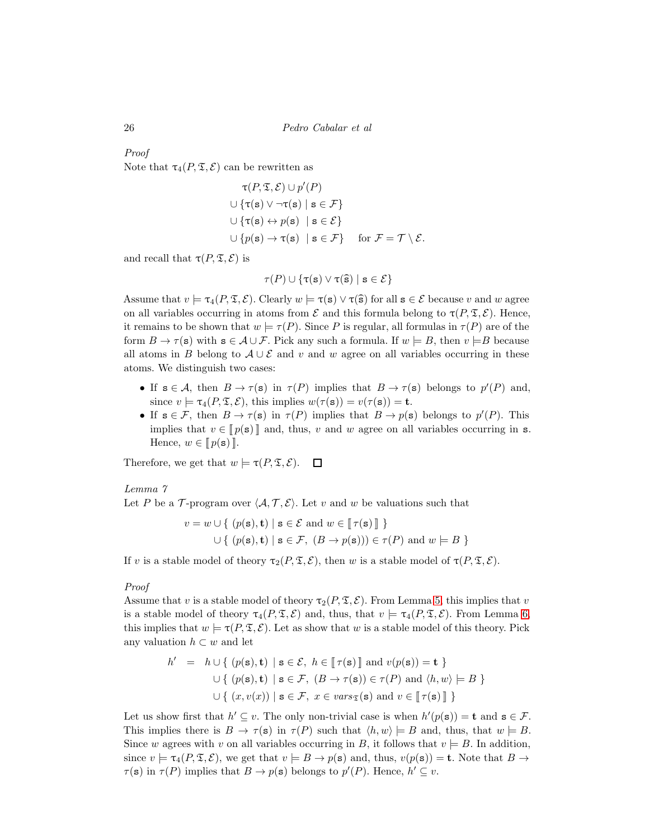# Proof

Note that  $\tau_4(P, \mathfrak{T}, \mathcal{E})$  can be rewritten as

$$
\tau(P, \mathfrak{T}, \mathcal{E}) \cup p'(P)
$$
  
 
$$
\cup \{\tau(\mathbf{s}) \lor \neg \tau(\mathbf{s}) \mid \mathbf{s} \in \mathcal{F}\}
$$
  
 
$$
\cup \{\tau(\mathbf{s}) \leftrightarrow p(\mathbf{s}) \mid \mathbf{s} \in \mathcal{E}\}
$$
  
 
$$
\cup \{p(\mathbf{s}) \rightarrow \tau(\mathbf{s}) \mid \mathbf{s} \in \mathcal{F}\} \quad \text{for } \mathcal{F} = \mathcal{T} \setminus \mathcal{E}.
$$

and recall that  $\tau(P, \mathfrak{T}, \mathcal{E})$  is

$$
\tau(P) \cup \{\tau(\mathbf{s}) \vee \tau(\widehat{\mathbf{s}}) \mid \mathbf{s} \in \mathcal{E}\}
$$

Assume that  $v \models \tau_4(P, \mathfrak{T}, \mathcal{E})$ . Clearly  $w \models \tau(s) \vee \tau(\widehat{s})$  for all  $s \in \mathcal{E}$  because v and w agree on all variables occurring in atoms from  $\mathcal E$  and this formula belong to  $\tau(P, \mathfrak T, \mathcal E)$ . Hence, it remains to be shown that  $w \models \tau(P)$ . Since P is regular, all formulas in  $\tau(P)$  are of the form  $B \to \tau(s)$  with  $s \in A \cup F$ . Pick any such a formula. If  $w \models B$ , then  $v \models B$  because all atoms in B belong to  $A \cup \mathcal{E}$  and v and w agree on all variables occurring in these atoms. We distinguish two cases:

- If  $s \in A$ , then  $B \to \tau(s)$  in  $\tau(P)$  implies that  $B \to \tau(s)$  belongs to  $p'(P)$  and, since  $v \models \tau_4(P, \mathfrak{T}, \mathcal{E})$ , this implies  $w(\tau(\mathbf{s})) = v(\tau(\mathbf{s})) = \mathbf{t}$ .
- If  $s \in \mathcal{F}$ , then  $B \to \tau(s)$  in  $\tau(P)$  implies that  $B \to p(s)$  belongs to  $p'(P)$ . This implies that  $v \in [p(\mathbf{s})]$  and, thus, v and w agree on all variables occurring in s. Hence,  $w \in [p(\mathbf{s})]$ .

<span id="page-25-0"></span>Therefore, we get that  $w \models \tau(P, \mathfrak{T}, \mathcal{E})$ .  $\Box$ 

#### Lemma 7

Let P be a T-program over  $\langle A, T, \mathcal{E} \rangle$ . Let v and w be valuations such that

$$
v = w \cup \{ (p(\mathbf{s}), \mathbf{t}) \mid \mathbf{s} \in \mathcal{E} \text{ and } w \in [\![\tau(\mathbf{s})]\!] \}
$$
  

$$
\cup \{ (p(\mathbf{s}), \mathbf{t}) \mid \mathbf{s} \in \mathcal{F}, (B \to p(\mathbf{s}))) \in \tau(P) \text{ and } w \models B \}
$$

If v is a stable model of theory  $\tau_2(P, \mathfrak{T}, \mathcal{E})$ , then w is a stable model of  $\tau(P, \mathfrak{T}, \mathcal{E})$ .

#### Proof

Assume that v is a stable model of theory  $\tau_2(P, \mathfrak{T}, \mathcal{E})$ . From Lemma [5,](#page-23-1) this implies that v is a stable model of theory  $\tau_4(P, \mathfrak{T}, \mathcal{E})$  and, thus, that  $v \models \tau_4(P, \mathfrak{T}, \mathcal{E})$ . From Lemma [6,](#page-24-0) this implies that  $w \models \tau(P, \mathfrak{T}, \mathcal{E})$ . Let as show that w is a stable model of this theory. Pick any valuation  $h \subset w$  and let

$$
h' = h \cup \{ (p(\mathbf{s}), \mathbf{t}) \mid \mathbf{s} \in \mathcal{E}, h \in [\![\tau(\mathbf{s})]\!] \text{ and } v(p(\mathbf{s})) = \mathbf{t} \}
$$
  

$$
\cup \{ (p(\mathbf{s}), \mathbf{t}) \mid \mathbf{s} \in \mathcal{F}, (B \to \tau(\mathbf{s})) \in \tau(P) \text{ and } \langle h, w \rangle \models B \}
$$
  

$$
\cup \{ (x, v(x)) \mid \mathbf{s} \in \mathcal{F}, x \in vars_{\mathfrak{T}}(\mathbf{s}) \text{ and } v \in [\![\tau(\mathbf{s})]\!] \}
$$

Let us show first that  $h' \subseteq v$ . The only non-trivial case is when  $h'(p(\mathbf{s})) = \mathbf{t}$  and  $\mathbf{s} \in \mathcal{F}$ . This implies there is  $B \to \tau(s)$  in  $\tau(P)$  such that  $\langle h, w \rangle \models B$  and, thus, that  $w \models B$ . Since w agrees with v on all variables occurring in B, it follows that  $v \models B$ . In addition, since  $v \models \tau_4(P, \mathfrak{T}, \mathcal{E})$ , we get that  $v \models B \rightarrow p(\mathbf{s})$  and, thus,  $v(p(\mathbf{s})) = \mathbf{t}$ . Note that  $B \rightarrow$  $\tau(\mathbf{s})$  in  $\tau(P)$  implies that  $B \to p(\mathbf{s})$  belongs to  $p'(P)$ . Hence,  $h' \subseteq v$ .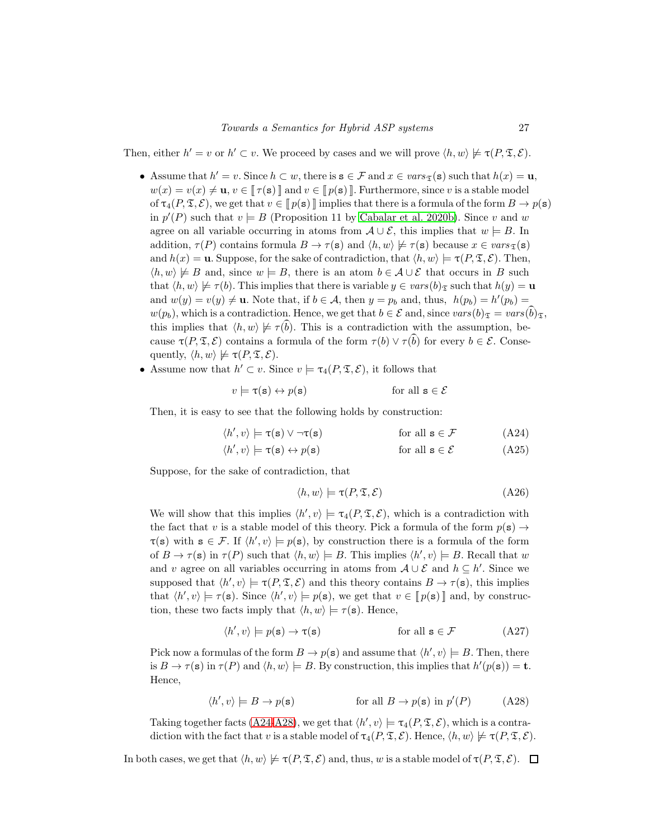Then, either  $h' = v$  or  $h' \subset v$ . We proceed by cases and we will prove  $\langle h, w \rangle \not\models \tau(P, \mathfrak{T}, \mathcal{E})$ .

- Assume that  $h' = v$ . Since  $h \subset w$ , there is  $\mathbf{s} \in \mathcal{F}$  and  $x \in vars_{\mathfrak{T}}(\mathbf{s})$  such that  $h(x) = \mathbf{u}$ ,  $w(x) = v(x) \neq \mathbf{u}, v \in \llbracket \tau(\mathbf{s}) \rrbracket$  and  $v \in \llbracket p(\mathbf{s}) \rrbracket$ . Furthermore, since v is a stable model of  $\tau_4(P, \mathfrak{T}, \mathcal{E})$ , we get that  $v \in \llbracket p(\mathbf{s}) \rrbracket$  implies that there is a formula of the form  $B \to p(\mathbf{s})$ in  $p'(P)$  such that  $v \models B$  (Proposition 11 by [Cabalar et al. 2020b\)](#page-28-0). Since v and w agree on all variable occurring in atoms from  $\mathcal{A} \cup \mathcal{E}$ , this implies that  $w \models B$ . In addition,  $\tau(P)$  contains formula  $B \to \tau(s)$  and  $\langle h, w \rangle \not\models \tau(s)$  because  $x \in vars_{\mathfrak{T}}(s)$ and  $h(x) = \mathbf{u}$ . Suppose, for the sake of contradiction, that  $\langle h, w \rangle \models \tau(P, \mathfrak{T}, \mathcal{E})$ . Then,  $\langle h, w \rangle \not\models B$  and, since  $w \models B$ , there is an atom  $b \in \mathcal{A} \cup \mathcal{E}$  that occurs in B such that  $\langle h, w \rangle \not\models \tau(b)$ . This implies that there is variable  $y \in vars(b)_{\mathfrak{T}}$  such that  $h(y) = u$ and  $w(y) = v(y) \neq \mathbf{u}$ . Note that, if  $b \in \mathcal{A}$ , then  $y = p_b$  and, thus,  $h(p_b) = h'(p_b) =$  $w(p_b)$ , which is a contradiction. Hence, we get that  $b \in \mathcal{E}$  and, since  $vars(b)_{\mathcal{F}} = vars(b)_{\mathcal{F}},$ this implies that  $\langle h, w \rangle \not\models \tau(b)$ . This is a contradiction with the assumption, because  $\tau(P, \mathfrak{T}, \mathcal{E})$  contains a formula of the form  $\tau(b) \vee \tau(b)$  for every  $b \in \mathcal{E}$ . Consequently,  $\langle h, w \rangle \not\models \tau(P, \mathfrak{T}, \mathcal{E}).$
- Assume now that  $h' \subset v$ . Since  $v \models \tau_4(P, \mathfrak{T}, \mathcal{E})$ , it follows that

$$
v \models \tau(\mathbf{s}) \leftrightarrow p(\mathbf{s}) \qquad \text{for all } \mathbf{s} \in \mathcal{E}
$$

Then, it is easy to see that the following holds by construction:

$$
\langle h', v \rangle \models \tau(s) \lor \neg \tau(s) \qquad \text{for all } s \in \mathcal{F} \qquad (A24)
$$

$$
\langle h', v \rangle \models \tau(\mathbf{s}) \leftrightarrow p(\mathbf{s}) \qquad \text{for all } \mathbf{s} \in \mathcal{E} \tag{A25}
$$

Suppose, for the sake of contradiction, that

<span id="page-26-0"></span>
$$
\langle h, w \rangle \models \tau(P, \mathfrak{T}, \mathcal{E}) \tag{A26}
$$

We will show that this implies  $\langle h', v \rangle \models \tau_4(P, \mathfrak{T}, \mathcal{E})$ , which is a contradiction with the fact that v is a stable model of this theory. Pick a formula of the form  $p(\mathbf{s}) \rightarrow$  $\tau(s)$  with  $s \in \mathcal{F}$ . If  $\langle h', v \rangle \models p(s)$ , by construction there is a formula of the form of  $B \to \tau(s)$  in  $\tau(P)$  such that  $\langle h, w \rangle \models B$ . This implies  $\langle h', v \rangle \models B$ . Recall that w and v agree on all variables occurring in atoms from  $A \cup \mathcal{E}$  and  $h \subseteq h'$ . Since we supposed that  $\langle h', v \rangle \models \tau(P, \mathfrak{T}, \mathcal{E})$  and this theory contains  $B \to \tau(\mathbf{s})$ , this implies that  $\langle h', v \rangle \models \tau(\mathbf{s})$ . Since  $\langle h', v \rangle \models p(\mathbf{s})$ , we get that  $v \in [p(\mathbf{s})]$  and, by construction, these two facts imply that  $\langle h, w \rangle \models \tau(\mathbf{s})$ . Hence,

<span id="page-26-1"></span>
$$
\langle h', v \rangle \models p(\mathbf{s}) \rightarrow \tau(\mathbf{s}) \qquad \text{for all } \mathbf{s} \in \mathcal{F} \qquad (A27)
$$

Pick now a formulas of the form  $B \to p(s)$  and assume that  $\langle h', v \rangle \models B$ . Then, there is  $B \to \tau(\mathbf{s})$  in  $\tau(P)$  and  $\langle h, w \rangle \models B$ . By construction, this implies that  $h'(p(\mathbf{s})) = \mathbf{t}$ . Hence,

$$
\langle h', v \rangle \models B \to p(\mathbf{s}) \qquad \text{for all } B \to p(\mathbf{s}) \text{ in } p'(P) \qquad (A28)
$$

Taking together facts [\(A24-](#page-26-0)[A28\)](#page-26-1), we get that  $\langle h', v \rangle \models \tau_4(P, \mathfrak{T}, \mathcal{E})$ , which is a contradiction with the fact that v is a stable model of  $\tau_4(P, \mathfrak{T}, \mathcal{E})$ . Hence,  $\langle h, w \rangle \not\models \tau(P, \mathfrak{T}, \mathcal{E})$ .

<span id="page-26-2"></span>In both cases, we get that  $\langle h, w \rangle \not\models \tau(P, \mathfrak{T}, \mathcal{E})$  and, thus, w is a stable model of  $\tau(P, \mathfrak{T}, \mathcal{E})$ .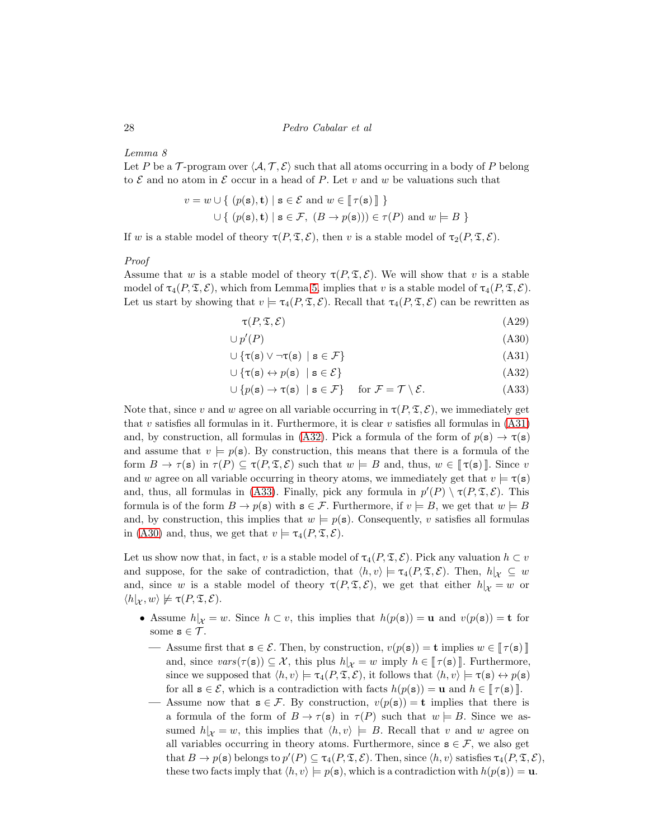# Lemma 8

Let P be a T-program over  $\langle A, T, \mathcal{E} \rangle$  such that all atoms occurring in a body of P belong to  $\mathcal E$  and no atom in  $\mathcal E$  occur in a head of P. Let v and w be valuations such that

$$
v = w \cup \{ (p(\mathbf{s}), \mathbf{t}) \mid \mathbf{s} \in \mathcal{E} \text{ and } w \in [\![\tau(\mathbf{s})]\!] \}
$$
  

$$
\cup \{ (p(\mathbf{s}), \mathbf{t}) \mid \mathbf{s} \in \mathcal{F}, (B \to p(\mathbf{s}))) \in \tau(P) \text{ and } w \models B \}
$$

If w is a stable model of theory  $\tau(P, \mathfrak{T}, \mathcal{E})$ , then v is a stable model of  $\tau_2(P, \mathfrak{T}, \mathcal{E})$ .

#### Proof

Assume that w is a stable model of theory  $\tau(P, \mathfrak{T}, \mathcal{E})$ . We will show that v is a stable model of  $\tau_4(P, \mathfrak{T}, \mathcal{E})$ , which from Lemma [5,](#page-23-1) implies that v is a stable model of  $\tau_4(P, \mathfrak{T}, \mathcal{E})$ . Let us start by showing that  $v \models \tau_4(P, \mathfrak{T}, \mathcal{E})$ . Recall that  $\tau_4(P, \mathfrak{T}, \mathcal{E})$  can be rewritten as

<span id="page-27-3"></span><span id="page-27-2"></span><span id="page-27-1"></span><span id="page-27-0"></span>
$$
\tau(P, \mathfrak{T}, \mathcal{E}) \tag{A29}
$$

$$
\cup p'(P) \tag{A30}
$$

$$
\cup \{\tau(s) \lor \neg \tau(s) \mid s \in \mathcal{F}\}\tag{A31}
$$

$$
\cup \{\tau(\mathbf{s}) \leftrightarrow p(\mathbf{s}) \mid \mathbf{s} \in \mathcal{E}\}\tag{A32}
$$

$$
\cup \{p(\mathbf{s}) \to \tau(\mathbf{s}) \mid \mathbf{s} \in \mathcal{F}\} \quad \text{for } \mathcal{F} = \mathcal{T} \setminus \mathcal{E}.\tag{A33}
$$

Note that, since v and w agree on all variable occurring in  $\tau(P, \mathfrak{T}, \mathcal{E})$ , we immediately get that v satisfies all formulas in it. Furthermore, it is clear v satisfies all formulas in  $(A31)$ and, by construction, all formulas in [\(A32\)](#page-27-1). Pick a formula of the form of  $p(s) \rightarrow \tau(s)$ and assume that  $v \models p(\mathbf{s})$ . By construction, this means that there is a formula of the form  $B \to \tau(s)$  in  $\tau(P) \subseteq \tau(P, \mathfrak{T}, \mathcal{E})$  such that  $w \models B$  and, thus,  $w \in [\tau(s)]$ . Since v and w agree on all variable occurring in theory atoms, we immediately get that  $v \models \tau(s)$ and, thus, all formulas in [\(A33\)](#page-27-2). Finally, pick any formula in  $p'(P) \setminus \tau(P, \mathfrak{T}, \mathcal{E})$ . This formula is of the form  $B \to p(s)$  with  $s \in \mathcal{F}$ . Furthermore, if  $v \models B$ , we get that  $w \models B$ and, by construction, this implies that  $w = p(s)$ . Consequently, v satisfies all formulas in [\(A30\)](#page-27-3) and, thus, we get that  $v \models \tau_4(P, \mathfrak{T}, \mathcal{E}).$ 

Let us show now that, in fact, v is a stable model of  $\tau_4(P, \mathfrak{T}, \mathcal{E})$ . Pick any valuation  $h \subset v$ and suppose, for the sake of contradiction, that  $\langle h, v \rangle \models \tau_4(P, \mathfrak{T}, \mathcal{E})$ . Then,  $h|_{\mathcal{X}} \subseteq w$ and, since w is a stable model of theory  $\tau(P, \mathfrak{T}, \mathcal{E})$ , we get that either  $h|_{\mathcal{X}} = w$  or  $\langle h|_{\mathcal{X}}, w \rangle \not\models \tau(P, \mathfrak{T}, \mathcal{E}).$ 

- Assume  $h|_X = w$ . Since  $h \subset v$ , this implies that  $h(p(s)) = u$  and  $v(p(s)) = t$  for some  $s \in \mathcal{T}$ .
	- Assume first that  $\mathbf{s} \in \mathcal{E}$ . Then, by construction,  $v(p(\mathbf{s})) = \mathbf{t}$  implies  $w \in [\![\tau(\mathbf{s})]\!]$ and, since  $vars(\tau(\mathbf{s})) \subseteq \mathcal{X}$ , this plus  $h|_{\mathcal{X}} = w$  imply  $h \in [\tau(\mathbf{s})]$ . Furthermore, since we supposed that  $\langle h, v \rangle \models \tau_4(P, \mathfrak{T}, \mathcal{E})$ , it follows that  $\langle h, v \rangle \models \tau(\mathbf{s}) \leftrightarrow p(\mathbf{s})$ for all  $\mathbf{s} \in \mathcal{E}$ , which is a contradiction with facts  $h(p(\mathbf{s})) = \mathbf{u}$  and  $h \in [\![\tau(\mathbf{s})\!]$ .
	- Assume now that  $\mathbf{s} \in \mathcal{F}$ . By construction,  $v(p(\mathbf{s})) = \mathbf{t}$  implies that there is a formula of the form of  $B \to \tau(s)$  in  $\tau(P)$  such that  $w \models B$ . Since we assumed  $h|_X = w$ , this implies that  $\langle h, v \rangle \models B$ . Recall that v and w agree on all variables occurring in theory atoms. Furthermore, since  $s \in \mathcal{F}$ , we also get that  $B \to p(\mathbf{s})$  belongs to  $p'(P) \subseteq \tau_4(P, \mathfrak{T}, \mathcal{E})$ . Then, since  $\langle h, v \rangle$  satisfies  $\tau_4(P, \mathfrak{T}, \mathcal{E})$ , these two facts imply that  $\langle h, v \rangle \models p(\mathbf{s})$ , which is a contradiction with  $h(p(\mathbf{s})) = \mathbf{u}$ .